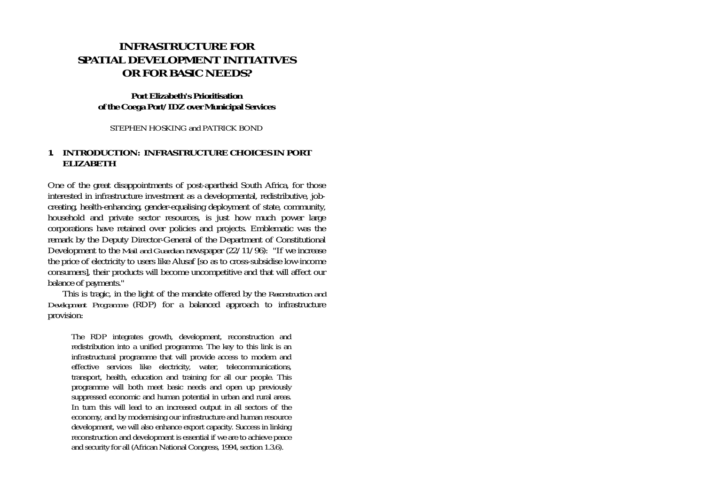# **INFRASTRUCTURE FOR SPATIAL DEVELOPMENT INITIATIVES OR FOR BASIC NEEDS?**

### **Port Elizabeth's Prioritisation of the Coega Port/IDZ over Municipal Services**

STEPHEN HOSKING and PATRICK BOND

## **1. INTRODUCTION: INFRASTRUCTURE CHOICES IN PORT ELIZABETH**

One of the great disappointments of post-apartheid South Africa, for those interested in infrastructure investment as a developmental, redistributive, jobcreating, health-enhancing, gender-equalising deployment of state, community, household and private sector resources, is just how much power large corporations have retained over policies and projects. Emblematic was the remark by the Deputy Director-General of the Department of Constitutional Development to the *Mail and Guardian* newspaper (22/11/96): "If we increase the price of electricity to users like Alusaf [so as to cross-subsidise low-income consumers], their products will become uncompetitive and that will affect our balance of payments."

 This is tragic, in the light of the mandate offered by the *Reconstruction and Development Programme* (RDP) for a balanced approach to infrastructure provision:

The RDP integrates growth, development, reconstruction and redistribution into a unified programme. The key to this link is an infrastructural programme that will provide access to modern and effective services like electricity, water, telecommunications, transport, health, education and training for all our people. This programme will both meet basic needs and open up previously suppressed economic and human potential in urban and rural areas. In turn this will lead to an increased output in all sectors of the economy, and by modernising our infrastructure and human resource development, we will also enhance export capacity. Success in linking reconstruction and development is essential if we are to achieve peace and security for all (African National Congress, 1994, section 1.3.6).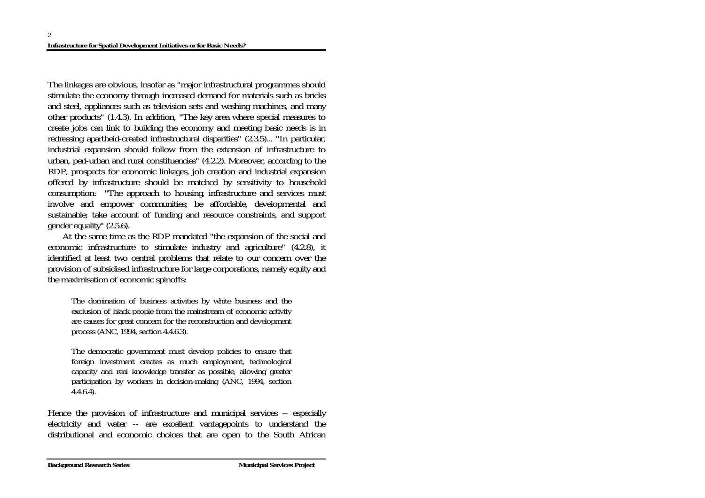The linkages are obvious, insofar as "major infrastructural programmes should stimulate the economy through increased demand for materials such as bricks and steel, appliances such as television sets and washing machines, and many other products" (1.4.3). In addition, "The key area where special measures to create jobs can link to building the economy and meeting basic needs is in redressing apartheid-created infrastructural disparities" (2.3.5)... "In particular, industrial expansion should follow from the extension of infrastructure to urban, peri-urban and rural constituencies" (4.2.2). Moreover, according to the RDP, prospects for economic linkages, job creation and industrial expansion offered by infrastructure should be matched by sensitivity to household consumption: "The approach to housing, infrastructure and services must involve and empower communities; be affordable, developmental and sustainable; take account of funding and resource constraints, and support gender equality" (2.5.6).

 At the same time as the RDP mandated "the expansion of the social and economic infrastructure to stimulate industry and agriculture" (4.2.8), it identified at least two central problems that relate to our concern over the provision of subsidised infrastructure for large corporations, namely equity and the maximisation of economic spinoffs:

The domination of business activities by white business and the exclusion of black people from the mainstream of economic activity are causes for great concern for the reconstruction and development process (ANC, 1994, section 4.4.6.3).

 The democratic government must develop policies to ensure that foreign investment creates as much employment, technological capacity and real knowledge transfer as possible, allowing greater participation by workers in decision-making (ANC, 1994, section 4.4.6.4).

Hence the provision of infrastructure and municipal services -- especially electricity and water -- are excellent vantagepoints to understand the distributional and economic choices that are open to the South African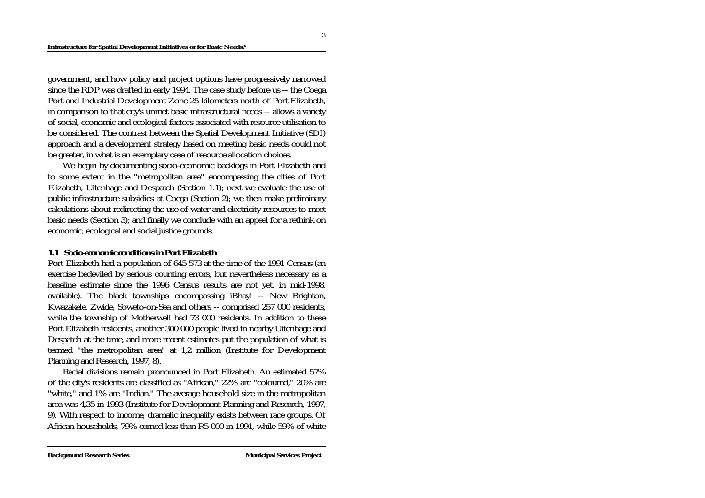government, and how policy and project options have progressively narrowed since the RDP was drafted in early 1994. The case study before us -- the Coega Port and Industrial Development Zone 25 kilometers north of Port Elizabeth, in comparison to that city's unmet basic infrastructural needs -- allows a variety of social, economic and ecological factors associated with resource utilisation to be considered. The contrast between the Spatial Development Initiative (SDI) approach and a development strategy based on meeting basic needs could not be greater, in what is an exemplary case of resource allocation choices.

 We begin by documenting socio-economic backlogs in Port Elizabeth and to some extent in the "metropolitan area" encompassing the cities of Port Elizabeth, Uitenhage and Despatch (Section 1.1); next we evaluate the use of public infrastructure subsidies at Coega (Section 2); we then make preliminary calculations about redirecting the use of water and electricity resources to meet basic needs (Section 3); and finally we conclude with an appeal for a rethink on economic, ecological and social justice grounds.

### *1.1 Socio-economic conditions in Port Elizabeth*

Port Elizabeth had a population of 645 573 at the time of the 1991 Census (an exercise bedeviled by serious counting errors, but nevertheless necessary as a baseline estimate since the 1996 Census results are not yet, in mid-1998, available). The black townships encompassing iBhayi -- New Brighton, Kwazakele, Zwide, Soweto-on-Sea and others -- comprised 257 000 residents, while the township of Motherwell had 73 000 residents. In addition to these Port Elizabeth residents, another 300 000 people lived in nearby Uitenhage and Despatch at the time, and more recent estimates put the population of what is termed "the metropolitan area" at 1,2 million (Institute for Development Planning and Research, 1997, 8).

 Racial divisions remain pronounced in Port Elizabeth. An estimated 57% of the city's residents are classified as "African," 22% are "coloured," 20% are "white," and 1% are "Indian." The average household size in the metropolitan area was 4,35 in 1993 (Institute for Development Planning and Research, 1997, 9). With respect to income, dramatic inequality exists between race groups. Of African households, 79% earned less than R5 000 in 1991, while 59% of white

3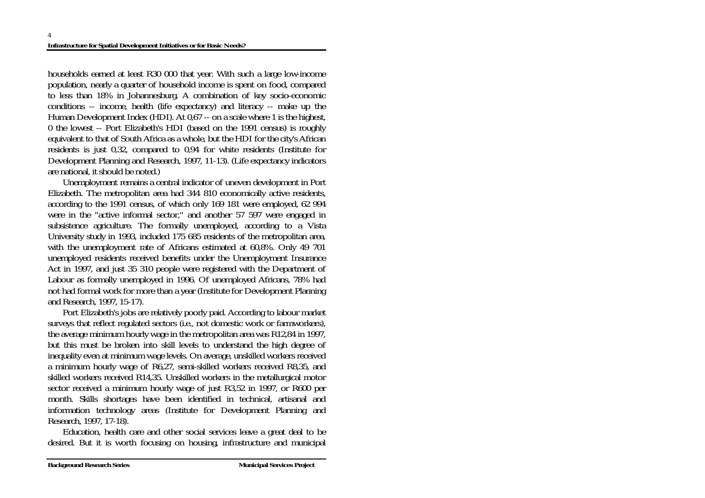households earned at least R30 000 that year. With such a large low-income population, nearly a quarter of household income is spent on food, compared to less than 18% in Johannesburg. A combination of key socio-economic conditions -- income, health (life expectancy) and literacy -- make up the Human Development Index (HDI). At 0,67 -- on a scale where 1 is the highest, 0 the lowest -- Port Elizabeth's HDI (based on the 1991 census) is roughly equivalent to that of South Africa as a whole, but the HDI for the city's African residents is just 0,32, compared to 0,94 for white residents (Institute for Development Planning and Research, 1997, 11-13). (Life expectancy indicators are national, it should be noted.)

 Unemployment remains a central indicator of uneven development in Port Elizabeth. The metropolitan area had 344 810 economically active residents, according to the 1991 census, of which only 169 181 were employed, 62 994 were in the "active informal sector," and another 57 597 were engaged in subsistence agriculture. The formally unemployed, according to a Vista University study in 1993, included 175 685 residents of the metropolitan area, with the unemployment rate of Africans estimated at 60,8%. Only 49 701 unemployed residents received benefits under the Unemployment Insurance Act in 1997, and just 35 310 people were registered with the Department of Labour as formally unemployed in 1996. Of unemployed Africans, 78% had not had formal work for more than a year (Institute for Development Planning and Research, 1997, 15-17).

 Port Elizabeth's jobs are relatively poorly paid. According to labour market surveys that reflect regulated sectors (i.e., not domestic work or farmworkers), the average minimum hourly wage in the metropolitan area was R12,84 in 1997, but this must be broken into skill levels to understand the high degree of inequality even at minimum wage levels. On average, unskilled workers received a minimum hourly wage of R6,27, semi-skilled workers received R8,35, and skilled workers received R14,35. Unskilled workers in the metallurgical motor sector received a minimum hourly wage of just R3,52 in 1997, or R600 per month. Skills shortages have been identified in technical, artisanal and information technology areas (Institute for Development Planning and Research, 1997, 17-18).

 Education, health care and other social services leave a great deal to be desired. But it is worth focusing on housing, infrastructure and municipal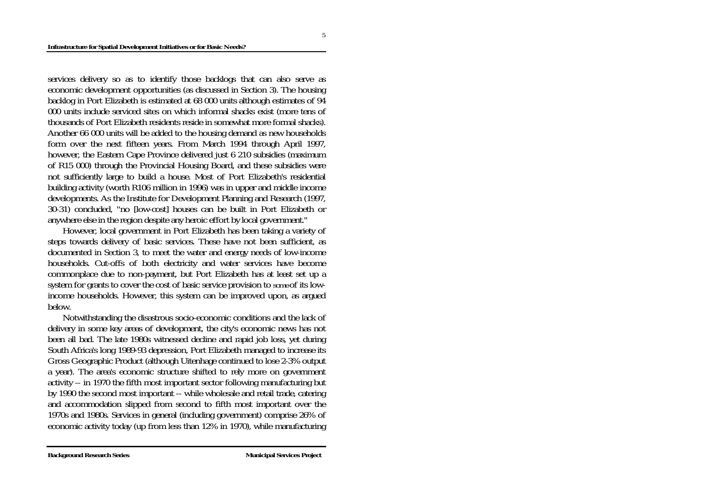services delivery so as to identify those backlogs that can also serve as economic development opportunities (as discussed in Section 3). The housing backlog in Port Elizabeth is estimated at 68 000 units although estimates of 94 000 units include serviced sites on which informal shacks exist (more tens of thousands of Port Elizabeth residents reside in somewhat more formal shacks). Another 66 000 units will be added to the housing demand as new households form over the next fifteen years. From March 1994 through April 1997, however, the Eastern Cape Province delivered just 6 210 subsidies (maximum of R15 000) through the Provincial Housing Board, and these subsidies were not sufficiently large to build a house. Most of Port Elizabeth's residential building activity (worth R106 million in 1996) was in upper and middle income developments. As the Institute for Development Planning and Research (1997, 30-31) concluded, "no [low-cost] houses can be built in Port Elizabeth or anywhere else in the region despite any heroic effort by local government."

 However, local government in Port Elizabeth has been taking a variety of steps towards delivery of basic services. These have not been sufficient, as documented in Section 3, to meet the water and energy needs of low-income households. Cut-offs of both electricity and water services have become commonplace due to non-payment, but Port Elizabeth has at least set up a system for grants to cover the cost of basic service provision to *some* of its lowincome households. However, this system can be improved upon, as argued below.

 Notwithstanding the disastrous socio-economic conditions and the lack of delivery in some key areas of development, the city's economic news has not been all bad. The late 1980s witnessed decline and rapid job loss, yet during South Africa's long 1989-93 depression, Port Elizabeth managed to increase its Gross Geographic Product (although Uitenhage continued to lose 2-3% output a year). The area's economic structure shifted to rely more on government activity -- in 1970 the fifth most important sector following manufacturing but by 1990 the second most important -- while wholesale and retail trade, catering and accommodation slipped from second to fifth most important over the 1970s and 1980s. Services in general (including government) comprise 26% of economic activity today (up from less than 12% in 1970), while manufacturing

5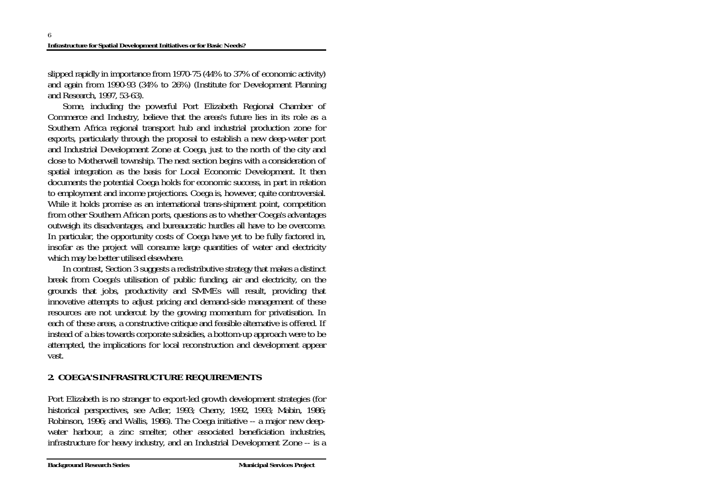slipped rapidly in importance from 1970-75 (44% to 37% of economic activity) and again from 1990-93 (34% to 26%) (Institute for Development Planning and Research, 1997, 53-63).

 Some, including the powerful Port Elizabeth Regional Chamber of Commerce and Industry, believe that the areas's future lies in its role as a Southern Africa regional transport hub and industrial production zone for exports, particularly through the proposal to establish a new deep-water port and Industrial Development Zone at Coega, just to the north of the city and close to Motherwell township. The next section begins with a consideration of spatial integration as the basis for Local Economic Development. It then documents the potential Coega holds for economic success, in part in relation to employment and income projections. Coega is, however, quite controversial. While it holds promise as an international trans-shipment point, competition from other Southern African ports, questions as to whether Coega's advantages outweigh its disadvantages, and bureaucratic hurdles all have to be overcome. In particular, the opportunity costs of Coega have yet to be fully factored in, insofar as the project will consume large quantities of water and electricity which may be better utilised elsewhere.

 In contrast, Section 3 suggests a redistributive strategy that makes a distinct break from Coega's utilisation of public funding, air and electricity, on the grounds that jobs, productivity and SMMEs will result, providing that innovative attempts to adjust pricing and demand-side management of these resources are not undercut by the growing momentum for privatisation. In each of these areas, a constructive critique and feasible alternative is offered. If instead of a bias towards corporate subsidies, a bottom-up approach were to be attempted, the implications for local reconstruction and development appear vast.

# **2. COEGA'S INFRASTRUCTURE REQUIREMENTS**

Port Elizabeth is no stranger to export-led growth development strategies (for historical perspectives, see Adler, 1993; Cherry, 1992, 1993; Mabin, 1986; Robinson, 1996; and Wallis, 1986). The Coega initiative -- a major new deepwater harbour, a zinc smelter, other associated beneficiation industries, infrastructure for heavy industry, and an Industrial Development Zone -- is a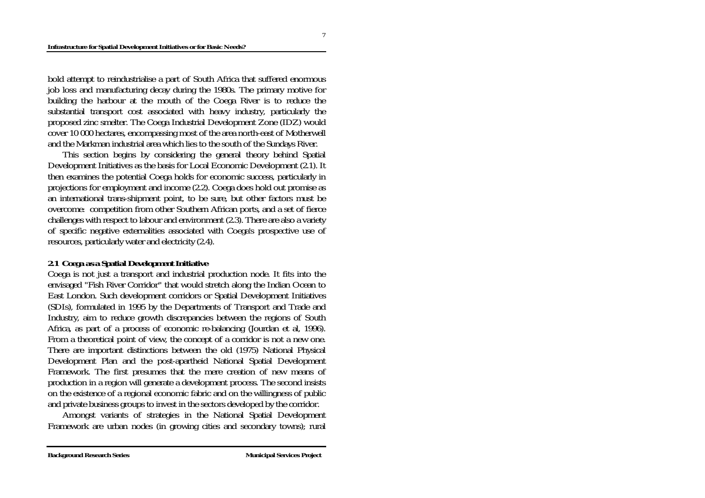bold attempt to reindustrialise a part of South Africa that suffered enormous job loss and manufacturing decay during the 1980s. The primary motive for building the harbour at the mouth of the Coega River is to reduce the substantial transport cost associated with heavy industry, particularly the proposed zinc smelter. The Coega Industrial Development Zone (IDZ) would cover 10 000 hectares, encompassing most of the area north-east of Motherwell and the Markman industrial area which lies to the south of the Sundays River.

 This section begins by considering the general theory behind Spatial Development Initiatives as the basis for Local Economic Development (2.1). It then examines the potential Coega holds for economic success, particularly in projections for employment and income (2.2). Coega does hold out promise as an international trans-shipment point, to be sure, but other factors must be overcome: competition from other Southern African ports, and a set of fierce challenges with respect to labour and environment (2.3). There are also a variety of specific negative externalities associated with Coega's prospective use of resources, particularly water and electricity (2.4).

### *2.1 Coega as a Spatial Development Initiative*

Coega is not just a transport and industrial production node. It fits into the envisaged "Fish River Corridor" that would stretch along the Indian Ocean to East London. Such development corridors or Spatial Development Initiatives (SDIs), formulated in 1995 by the Departments of Transport and Trade and Industry, aim to reduce growth discrepancies between the regions of South Africa, as part of a process of economic re-balancing (Jourdan et al, 1996). From a theoretical point of view, the concept of a corridor is not a new one. There are important distinctions between the old (1975) National Physical Development Plan and the post-apartheid National Spatial Development Framework. The first presumes that the mere creation of new means of production in a region will generate a development process. The second insists on the existence of a regional economic fabric and on the willingness of public and private business groups to invest in the sectors developed by the corridor.

 Amongst variants of strategies in the National Spatial Development Framework are urban nodes (in growing cities and secondary towns); rural

7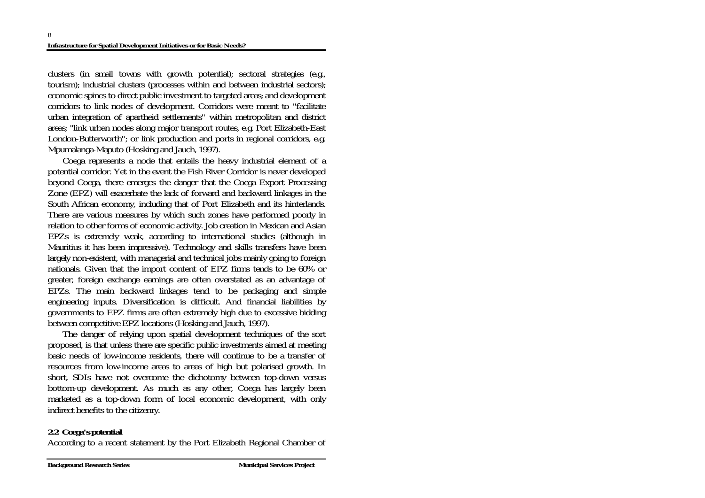clusters (in small towns with growth potential); sectoral strategies (e.g., tourism); industrial clusters (processes within and between industrial sectors); economic spines to direct public investment to targeted areas; and development corridors to link nodes of development. Corridors were meant to "facilitate urban integration of apartheid settlements" within metropolitan and district areas; "link urban nodes along major transport routes, e.g. Port Elizabeth-East London-Butterworth"; or link production and ports in regional corridors, e.g. Mpumalanga-Maputo (Hosking and Jauch, 1997).

 Coega represents a node that entails the heavy industrial element of a potential corridor. Yet in the event the Fish River Corridor is never developed beyond Coega, there emerges the danger that the Coega Export Processing Zone (EPZ) will exacerbate the lack of forward and backward linkages in the South African economy, including that of Port Elizabeth and its hinterlands. There are various measures by which such zones have performed poorly in relation to other forms of economic activity. Job creation in Mexican and Asian EPZs is extremely weak, according to international studies (although in Mauritius it has been impressive). Technology and skills transfers have been largely non-existent, with managerial and technical jobs mainly going to foreign nationals. Given that the import content of EPZ firms tends to be 60% or greater, foreign exchange earnings are often overstated as an advantage of EPZs. The main backward linkages tend to be packaging and simple engineering inputs. Diversification is difficult. And financial liabilities by governments to EPZ firms are often extremely high due to excessive bidding between competitive EPZ locations (Hosking and Jauch, 1997).

 The danger of relying upon spatial development techniques of the sort proposed, is that unless there are specific public investments aimed at meeting basic needs of low-income residents, there will continue to be a transfer of resources from low-income areas to areas of high but polarised growth. In short, SDIs have not overcome the dichotomy between top-down versus bottom-up development. As much as any other, Coega has largely been marketed as a top-down form of local economic development, with only indirect benefits to the citizenry.

## *2.2 Coega's potential*

According to a recent statement by the Port Elizabeth Regional Chamber of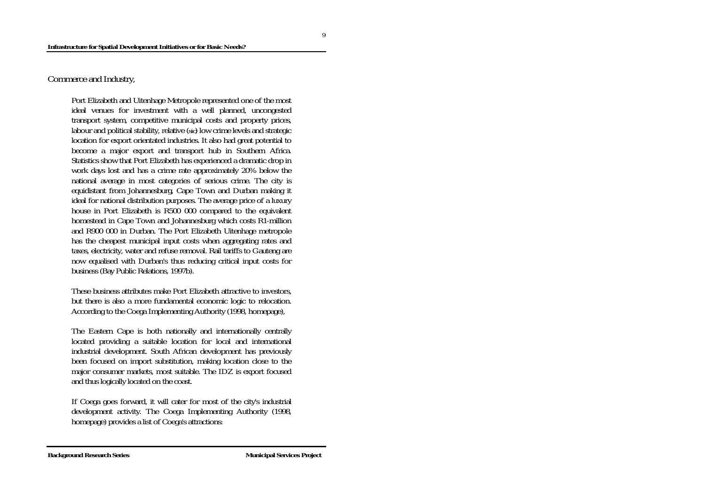Commerce and Industry,

Port Elizabeth and Uitenhage Metropole represented one of the most ideal venues for investment with a well planned, uncongested transport system, competitive municipal costs and property prices, labour and political stability, relative (*sic*) low crime levels and strategic location for export orientated industries. It also had great potential to become a major export and transport hub in Southern Africa. Statistics show that Port Elizabeth has experienced a dramatic drop in work days lost and has a crime rate approximately 20% below the national average in most categories of serious crime. The city is equidistant from Johannesburg, Cape Town and Durban making it ideal for national distribution purposes. The average price of a luxury house in Port Elizabeth is R500 000 compared to the equivalent homestead in Cape Town and Johannesburg which costs R1-million and R900 000 in Durban. The Port Elizabeth Uitenhage metropole has the cheapest municipal input costs when aggregating rates and taxes, electricity, water and refuse removal. Rail tariffs to Gauteng are now equalised with Durban's thus reducing critical input costs for business (Bay Public Relations, 1997b).

These business attributes make Port Elizabeth attractive to investors, but there is also a more fundamental economic logic to relocation. According to the Coega Implementing Authority (1998, homepage),

The Eastern Cape is both nationally and internationally centrally located providing a suitable location for local and international industrial development. South African development has previously been focused on import substitution, making location close to the major consumer markets, most suitable. The IDZ is export focused and thus logically located on the coast.

If Coega goes forward, it will cater for most of the city's industrial development activity. The Coega Implementing Authority (1998, homepage) provides a list of Coega's attractions:

9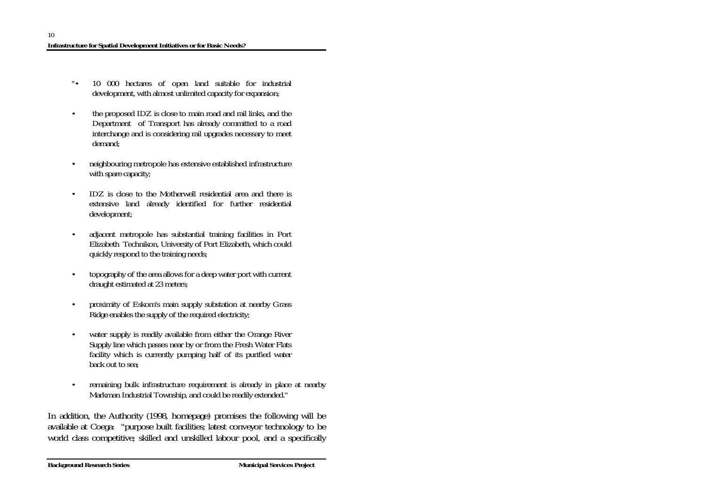- "• 10 000 hectares of open land suitable for industrial development, with almost unlimited capacity for expansion;
- the proposed IDZ is close to main road and rail links, and the Department of Transport has already committed to a road interchange and is considering rail upgrades necessary to meet demand;
- neighbouring metropole has extensive established infrastructure with spare capacity;
- IDZ is close to the Motherwell residential area and there is extensive land already identified for further residential development;
- adjacent metropole has substantial training facilities in Port Elizabeth Technikon, University of Port Elizabeth, which could quickly respond to the training needs;
- topography of the area allows for a deep water port with current draught estimated at 23 meters;
- proximity of Eskom's main supply substation at nearby Grass Ridge enables the supply of the required electricity;
- water supply is readily available from either the Orange River Supply line which passes near by or from the Fresh Water Flats facility which is currently pumping half of its purified water back out to sea;
- remaining bulk infrastructure requirement is already in place at nearby Markman Industrial Township, and could be readily extended."

In addition, the Authority (1998, homepage) promises the following will be available at Coega: "purpose built facilities; latest conveyor technology to be world class competitive; skilled and unskilled labour pool, and a specifically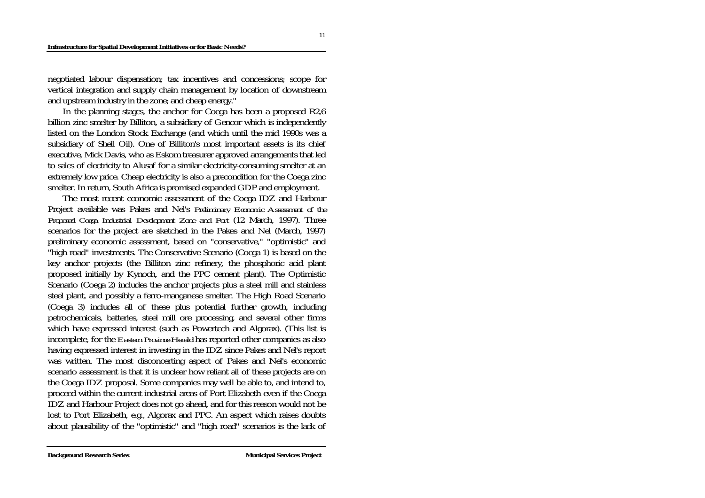#### **Infrastructure for Spatial Development Initiatives or for Basic Needs?**

negotiated labour dispensation; tax incentives and concessions; scope for vertical integration and supply chain management by location of downstream and upstream industry in the zone; and cheap energy."

 In the planning stages, the anchor for Coega has been a proposed R2,6 billion zinc smelter by Billiton, a subsidiary of Gencor which is independently listed on the London Stock Exchange (and which until the mid 1990s was a subsidiary of Shell Oil). One of Billiton's most important assets is its chief executive, Mick Davis, who as Eskom treasurer approved arrangements that led to sales of electricity to Alusaf for a similar electricity-consuming smelter at an extremely low price. Cheap electricity is also a precondition for the Coega zinc smelter. In return, South Africa is promised expanded GDP and employment.

 The most recent economic assessment of the Coega IDZ and Harbour Project available was Pakes and Nel's *Preliminary Economic Assessment of the Proposed Coega Industrial Development Zone and Port* (12 March, 1997). Three scenarios for the project are sketched in the Pakes and Nel (March, 1997) preliminary economic assessment, based on "conservative," "optimistic" and "high road" investments. The Conservative Scenario (Coega 1) is based on the key anchor projects (the Billiton zinc refinery, the phosphoric acid plant proposed initially by Kynoch, and the PPC cement plant). The Optimistic Scenario (Coega 2) includes the anchor projects plus a steel mill and stainless steel plant, and possibly a ferro-manganese smelter. The High Road Scenario (Coega 3) includes all of these plus potential further growth, including petrochemicals, batteries, steel mill ore processing, and several other firms which have expressed interest (such as Powertech and Algorax). (This list is incomplete, for the *Eastern Province Herald* has reported other companies as also having expressed interest in investing in the IDZ since Pakes and Nel's report was written. The most disconcerting aspect of Pakes and Nel's economic scenario assessment is that it is unclear how reliant all of these projects are on the Coega IDZ proposal. Some companies may well be able to, and intend to, proceed within the current industrial areas of Port Elizabeth even if the Coega IDZ and Harbour Project does not go ahead, and for this reason would not be lost to Port Elizabeth, e.g., Algorax and PPC. An aspect which raises doubts about plausibility of the "optimistic" and "high road" scenarios is the lack of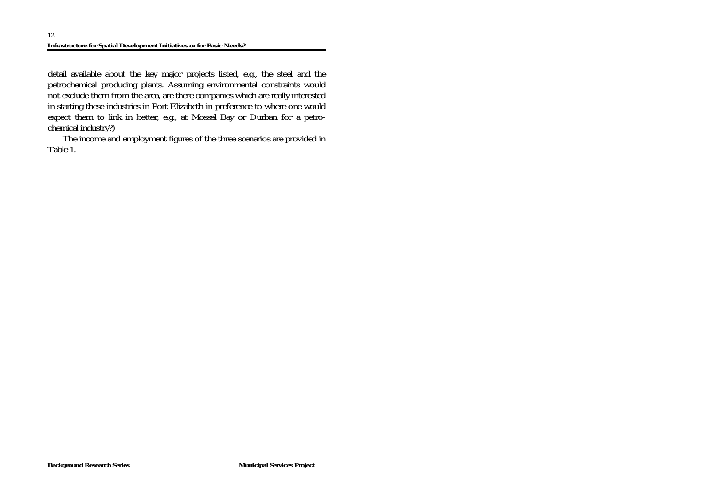detail available about the key major projects listed, e.g., the steel and the petrochemical producing plants. Assuming environmental constraints would not exclude them from the area, are there companies which are really interested in starting these industries in Port Elizabeth in preference to where one would expect them to link in better, e.g., at Mossel Bay or Durban for a petrochemical industry?)

 The income and employment figures of the three scenarios are provided in Table 1.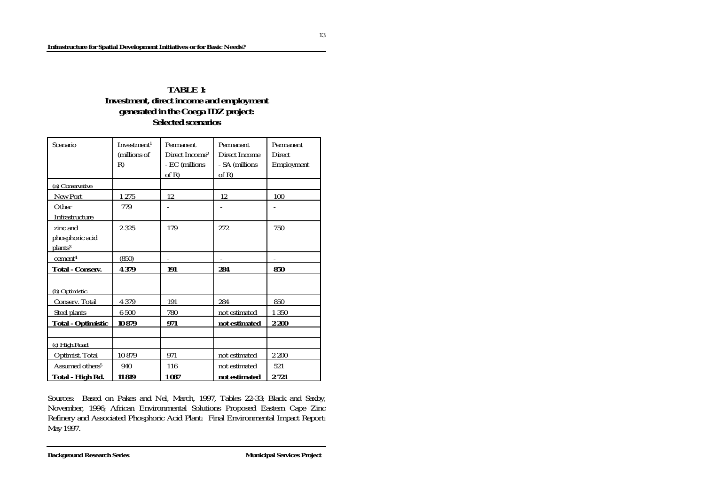## **TABLE 1: Investment, direct income and employment generated in the Coega IDZ project: Selected scenarios**

| Scenario                    | Investment <sup>1</sup> | Permanent                  | <b>Permanent</b> | Permanent     |
|-----------------------------|-------------------------|----------------------------|------------------|---------------|
|                             | (millions of            | Direct Income <sup>2</sup> | Direct Income    | <b>Direct</b> |
|                             | R)                      | - EC (millions             | - SA (millions   | Employment    |
|                             |                         | of R)                      | of $R$ )         |               |
| (a) Conservative            |                         |                            |                  |               |
| New Port                    | 1275                    | 12                         | 12               | 100           |
| Other                       | 779                     |                            |                  |               |
| Infrastructure              |                         |                            |                  |               |
| zinc and                    | 2 3 2 5                 | 179                        | 272              | 750           |
| phosphoric acid             |                         |                            |                  |               |
| plants <sup>3</sup>         |                         |                            |                  |               |
| cement <sup>4</sup>         | (850)                   | $\overline{\phantom{a}}$   |                  |               |
| <b>Total - Conserv.</b>     | 4 3 7 9                 | 191                        | 284              | 850           |
|                             |                         |                            |                  |               |
| (b) Optimistic              |                         |                            |                  |               |
| Conserv. Total              | 4 3 7 9                 | 191                        | 284              | 850           |
| <b>Steel plants</b>         | 6 500                   | 780                        | not estimated    | 1 3 5 0       |
| <b>Total - Optimistic</b>   | 10879                   | 971                        | not estimated    | 2 200         |
|                             |                         |                            |                  |               |
| (c) High Road               |                         |                            |                  |               |
| Optimist. Total             | 10879                   | 971                        | not estimated    | 2 200         |
| Assumed others <sup>5</sup> | 940                     | 116                        | not estimated    | 521           |
| Total - High Rd.            | 11819                   | 1087                       | not estimated    | 2721          |

Sources: Based on Pakes and Nel, March, 1997, Tables 22-33; Black and Saxby, November, 1996; African Environmental Solutions Proposed Eastern Cape Zinc Refinery and Associated Phosphoric Acid Plant: Final Environmental Impact Report: May 1997.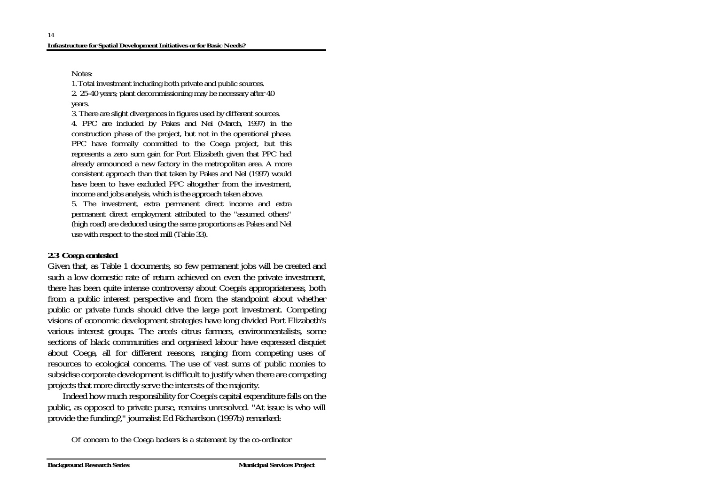Notes:

1. Total investment including both private and public sources.

2. 25-40 years; plant decommissioning may be necessary after 40 years.

3. There are slight divergences in figures used by different sources. 4. PPC are included by Pakes and Nel (March, 1997) in the construction phase of the project, but not in the operational phase. PPC have formally committed to the Coega project, but this represents a zero sum gain for Port Elizabeth given that PPC had already announced a new factory in the metropolitan area. A more consistent approach than that taken by Pakes and Nel (1997) would have been to have excluded PPC altogether from the investment, income and jobs analysis, which is the approach taken above.

5. The investment, extra permanent direct income and extra permanent direct employment attributed to the "assumed others" (high road) are deduced using the same proportions as Pakes and Nel use with respect to the steel mill (Table 33).

## *2.3 Coega contested*

Given that, as Table 1 documents, so few permanent jobs will be created and such a low domestic rate of return achieved on even the private investment, there has been quite intense controversy about Coega's appropriateness, both from a public interest perspective and from the standpoint about whether public or private funds should drive the large port investment. Competing visions of economic development strategies have long divided Port Elizabeth's various interest groups. The area's citrus farmers, environmentalists, some sections of black communities and organised labour have expressed disquiet about Coega, all for different reasons, ranging from competing uses of resources to ecological concerns. The use of vast sums of public monies to subsidise corporate development is difficult to justify when there are competing projects that more directly serve the interests of the majority.

 Indeed how much responsibility for Coega's capital expenditure falls on the public, as opposed to private purse, remains unresolved. "At issue is who will provide the funding?," journalist Ed Richardson (1997b) remarked:

Of concern to the Coega backers is a statement by the co-ordinator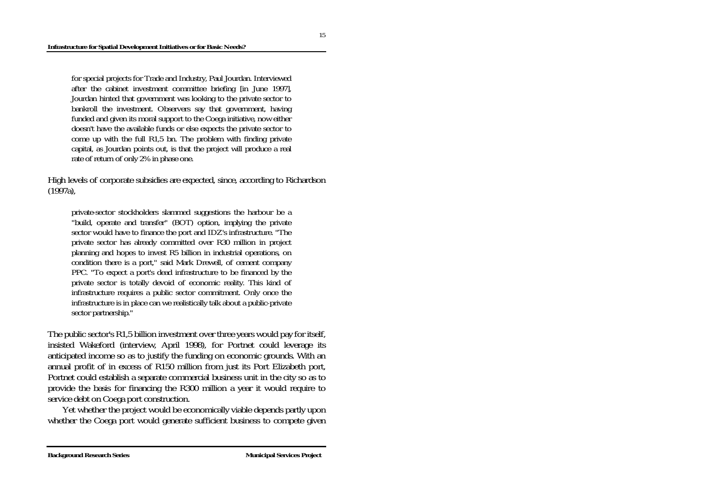for special projects for Trade and Industry, Paul Jourdan. Interviewed after the cabinet investment committee briefing [in June 1997], Jourdan hinted that government was looking to the private sector to bankroll the investment. Observers say that government, having funded and given its moral support to the Coega initiative, now either doesn't have the available funds or else expects the private sector to come up with the full R1,5 bn. The problem with finding private capital, as Jourdan points out, is that the project will produce a real rate of return of only 2% in phase one.

High levels of corporate subsidies are expected, since, according to Richardson (1997a),

private-sector stockholders slammed suggestions the harbour be a "build, operate and transfer" (BOT) option, implying the private sector would have to finance the port and IDZ's infrastructure. "The private sector has already committed over R30 million in project planning and hopes to invest R5 billion in industrial operations, on condition there is a port," said Mark Drewell, of cement company PPC. "To expect a port's dead infrastructure to be financed by the private sector is totally devoid of economic reality. This kind of infrastructure requires a public sector commitment. Only once the infrastructure is in place can we realistically talk about a public-private sector partnership."

The public sector's R1,5 billion investment over three years would pay for itself, insisted Wakeford (interview, April 1998), for Portnet could leverage its anticipated income so as to justify the funding on economic grounds. With an annual profit of in excess of R150 million from just its Port Elizabeth port, Portnet could establish a separate commercial business unit in the city so as to provide the basis for financing the R300 million a year it would require to service debt on Coega port construction.

 Yet whether the project would be economically viable depends partly upon whether the Coega port would generate sufficient business to compete given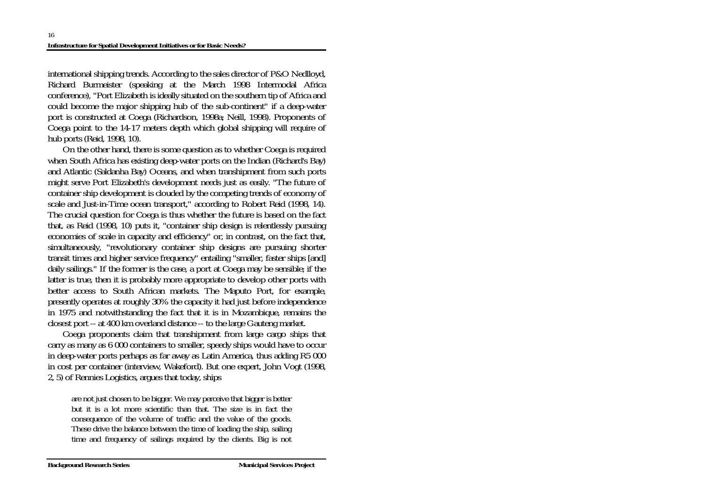international shipping trends. According to the sales director of P&O Nedlloyd, Richard Burmeister (speaking at the March 1998 Intermodal Africa conference), "Port Elizabeth is ideally situated on the southern tip of Africa and could become the major shipping hub of the sub-continent" if a deep-water port is constructed at Coega (Richardson, 1998a; Neill, 1998). Proponents of Coega point to the 14-17 meters depth which global shipping will require of hub ports (Reid, 1998, 10).

 On the other hand, there is some question as to whether Coega is required when South Africa has existing deep-water ports on the Indian (Richard's Bay) and Atlantic (Saldanha Bay) Oceans, and when transhipment from such ports might serve Port Elizabeth's development needs just as easily. "The future of container ship development is clouded by the competing trends of economy of scale and Just-in-Time ocean transport," according to Robert Reid (1998, 14). The crucial question for Coega is thus whether the future is based on the fact that, as Reid (1998, 10) puts it, "container ship design is relentlessly pursuing economies of scale in capacity and efficiency" or, in contrast, on the fact that, simultaneously, "revolutionary container ship designs are pursuing shorter transit times and higher service frequency" entailing "smaller, faster ships [and] daily sailings." If the former is the case, a port at Coega may be sensible; if the latter is true, then it is probably more appropriate to develop other ports with better access to South African markets. The Maputo Port, for example, presently operates at roughly 30% the capacity it had just before independence in 1975 and notwithstanding the fact that it is in Mozambique, remains the closest port -- at 400 km overland distance -- to the large Gauteng market.

 Coega proponents claim that transhipment from large cargo ships that carry as many as 6 000 containers to smaller, speedy ships would have to occur in deep-water ports perhaps as far away as Latin America, thus adding R5 000 in cost per container (interview, Wakeford). But one expert, John Vogt (1998, 2, 5) of Rennies Logistics, argues that today, ships

are not just chosen to be bigger. We may perceive that bigger is better but it is a lot more scientific than that. The size is in fact the consequence of the volume of traffic and the value of the goods. These drive the balance between the time of loading the ship, sailing time and frequency of sailings required by the clients. Big is not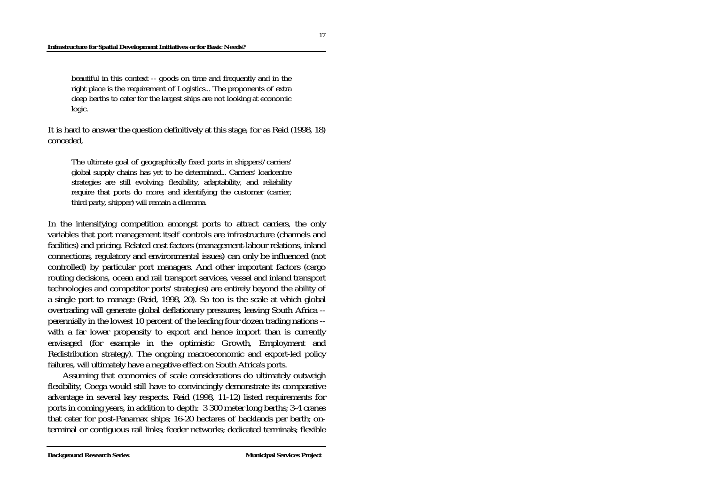#### **Infrastructure for Spatial Development Initiatives or for Basic Needs?**

beautiful in this context -- goods on time and frequently and in the right place is the requirement of Logistics... The proponents of extra deep berths to cater for the largest ships are not looking at economic logic.

It is hard to answer the question definitively at this stage, for as Reid (1998, 18) conceded,

The ultimate goal of geographically fixed ports in shippers'/carriers' global supply chains has yet to be determined... Carriers' loadcentre strategies are still evolving; flexibility, adaptability, and reliability require that ports do more; and identifying the customer (carrier, third party, shipper) will remain a dilemma.

In the intensifying competition amongst ports to attract carriers, the only variables that port management itself controls are infrastructure (channels and facilities) and pricing. Related cost factors (management-labour relations, inland connections, regulatory and environmental issues) can only be influenced (not controlled) by particular port managers. And other important factors (cargo routing decisions, ocean and rail transport services, vessel and inland transport technologies and competitor ports' strategies) are entirely beyond the ability of a single port to manage (Reid, 1998, 20). So too is the scale at which global overtrading will generate global deflationary pressures, leaving South Africa - perennially in the lowest 10 percent of the leading four dozen trading nations - with a far lower propensity to export and hence import than is currently envisaged (for example in the optimistic Growth, Employment and Redistribution strategy). The ongoing macroeconomic and export-led policy failures, will ultimately have a negative effect on South Africa's ports.

 Assuming that economies of scale considerations do ultimately outweigh flexibility, Coega would still have to convincingly demonstrate its comparative advantage in several key respects. Reid (1998, 11-12) listed requirements for ports in coming years, in addition to depth: 3 300 meter long berths; 3-4 cranes that cater for post-Panamax ships; 16-20 hectares of backlands per berth; onterminal or contiguous rail links; feeder networks; dedicated terminals; flexible

17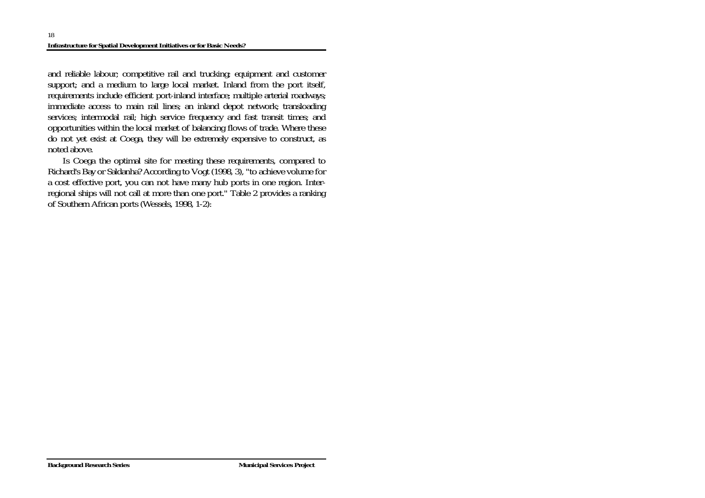and reliable labour; competitive rail and trucking; equipment and customer support; and a medium to large local market. Inland from the port itself, requirements include efficient port-inland interface; multiple arterial roadways; immediate access to main rail lines; an inland depot network; transloading services; intermodal rail; high service frequency and fast transit times; and opportunities within the local market of balancing flows of trade. Where these do not yet exist at Coega, they will be extremely expensive to construct, as noted above.

 Is Coega the optimal site for meeting these requirements, compared to Richard's Bay or Saldanha? According to Vogt (1998, 3), "to achieve volume for a cost effective port, you can not have many hub ports in one region. Interregional ships will not call at more than one port." Table 2 provides a ranking of Southern African ports (Wessels, 1998, 1-2):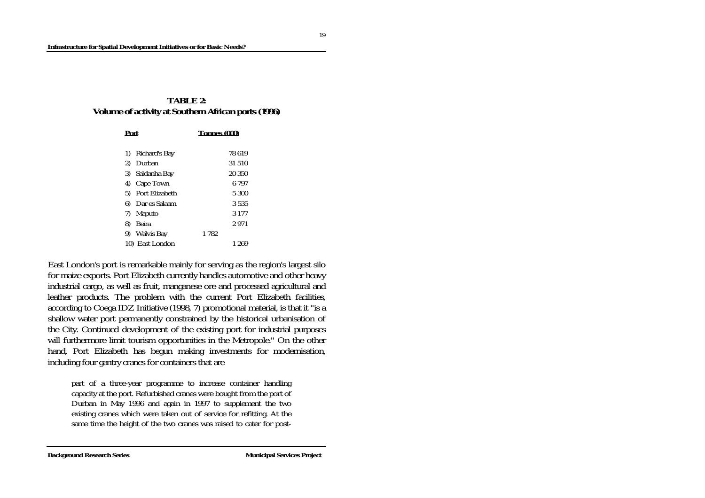### **TABLE 2: Volume of activity at Southern African ports (1996)**

| Port                   | <b>Tonnes (000)</b> |  |
|------------------------|---------------------|--|
|                        |                     |  |
| Richard's Bay<br>1)    | 78619               |  |
| Durban<br>$\mathbf{2}$ | 31 510              |  |
| 3)<br>Saldanha Bay     | 20 350              |  |
| <b>Cape Town</b><br>4) | 6 797               |  |
| Port Elizabeth<br>5)   | 5 300               |  |
| 6)<br>Dar es Salaam    | 3 535               |  |
| 7)<br><b>Maputo</b>    | 3 177               |  |
| <b>Beira</b><br>8)     | 2971                |  |
| Walvis Bay<br>9)       | 1 782               |  |
| 10) East London        | 1 269               |  |

East London's port is remarkable mainly for serving as the region's largest silo for maize exports. Port Elizabeth currently handles automotive and other heavy industrial cargo, as well as fruit, manganese ore and processed agricultural and leather products. The problem with the current Port Elizabeth facilities, according to Coega IDZ Initiative (1998, 7) promotional material, is that it "is a shallow water port permanently constrained by the historical urbanisation of the City. Continued development of the existing port for industrial purposes will furthermore limit tourism opportunities in the Metropole." On the other hand, Port Elizabeth has begun making investments for modernisation, including four gantry cranes for containers that are

part of a three-year programme to increase container handling capacity at the port. Refurbished cranes were bought from the port of Durban in May 1996 and again in 1997 to supplement the two existing cranes which were taken out of service for refitting. At the same time the height of the two cranes was raised to cater for post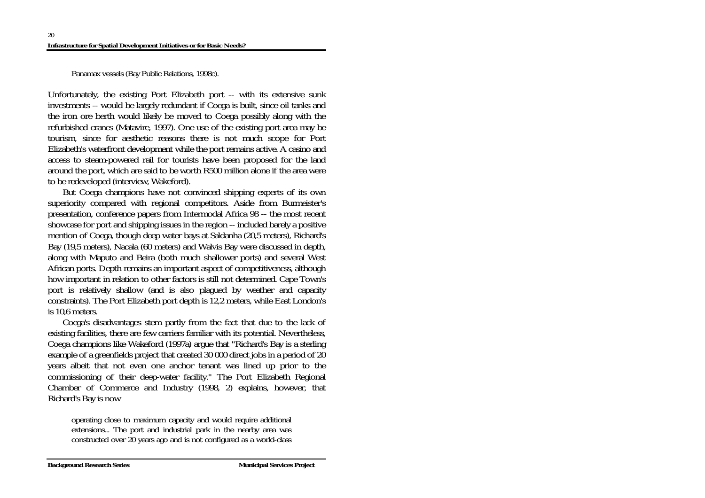Panamax vessels (Bay Public Relations, 1998c).

Unfortunately, the existing Port Elizabeth port -- with its extensive sunk investments -- would be largely redundant if Coega is built, since oil tanks and the iron ore berth would likely be moved to Coega possibly along with the refurbished cranes (Matavire, 1997). One use of the existing port area may be tourism, since for aesthetic reasons there is not much scope for Port Elizabeth's waterfront development while the port remains active. A casino and access to steam-powered rail for tourists have been proposed for the land around the port, which are said to be worth R500 million alone if the area were to be redeveloped (interview, Wakeford).

 But Coega champions have not convinced shipping experts of its own superiority compared with regional competitors. Aside from Burmeister's presentation, conference papers from Intermodal Africa 98 -- the most recent showcase for port and shipping issues in the region -- included barely a positive mention of Coega, though deep water bays at Saldanha (20,5 meters), Richard's Bay (19,5 meters), Nacala (60 meters) and Walvis Bay were discussed in depth, along with Maputo and Beira (both much shallower ports) and several West African ports. Depth remains an important aspect of competitiveness, although how important in relation to other factors is still not determined. Cape Town's port is relatively shallow (and is also plagued by weather and capacity constraints). The Port Elizabeth port depth is 12,2 meters, while East London's is 10,6 meters.

 Coega's disadvantages stem partly from the fact that due to the lack of existing facilities, there are few carriers familiar with its potential. Nevertheless, Coega champions like Wakeford (1997a) argue that "Richard's Bay is a sterling example of a greenfields project that created 30 000 direct jobs in a period of 20 years albeit that not even one anchor tenant was lined up prior to the commissioning of their deep-water facility." The Port Elizabeth Regional Chamber of Commerce and Industry (1998, 2) explains, however, that Richard's Bay is now

operating close to maximum capacity and would require additional extensions... The port and industrial park in the nearby area was constructed over 20 years ago and is not configured as a world-class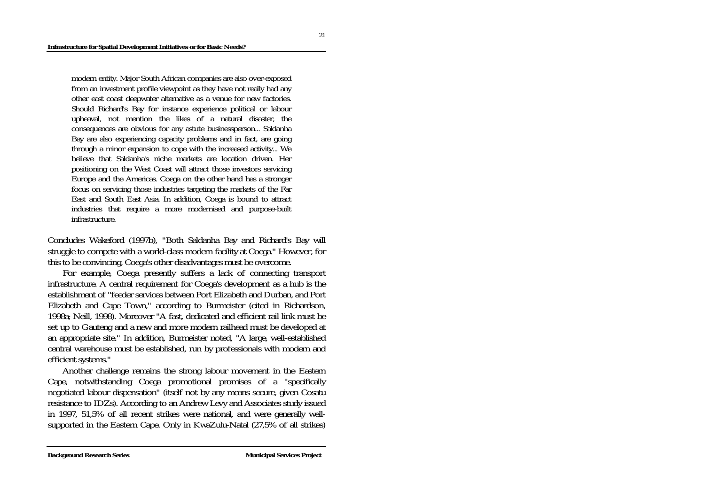modern entity. Major South African companies are also over-exposed from an investment profile viewpoint as they have not really had any other east coast deepwater alternative as a venue for new factories. Should Richard's Bay for instance experience political or labour upheaval, not mention the likes of a natural disaster, the consequences are obvious for any astute businessperson... Saldanha Bay are also experiencing capacity problems and in fact, are going through a minor expansion to cope with the increased activity... We believe that Saldanha's niche markets are location driven. Her positioning on the West Coast will attract those investors servicing Europe and the Americas. Coega on the other hand has a stronger focus on servicing those industries targeting the markets of the Far East and South East Asia. In addition, Coega is bound to attract industries that require a more modernised and purpose-built infrastructure.

Concludes Wakeford (1997b), "Both Saldanha Bay and Richard's Bay will struggle to compete with a world-class modern facility at Coega." However, for this to be convincing, Coega's other disadvantages must be overcome.

 For example, Coega presently suffers a lack of connecting transport infrastructure. A central requirement for Coega's development as a hub is the establishment of "feeder services between Port Elizabeth and Durban, and Port Elizabeth and Cape Town," according to Burmeister (cited in Richardson, 1998a; Neill, 1998). Moreover "A fast, dedicated and efficient rail link must be set up to Gauteng and a new and more modern railhead must be developed at an appropriate site." In addition, Burmeister noted, "A large, well-established central warehouse must be established, run by professionals with modern and efficient systems."

 Another challenge remains the strong labour movement in the Eastern Cape, notwithstanding Coega promotional promises of a "specifically negotiated labour dispensation" (itself not by any means secure, given Cosatu resistance to IDZs). According to an Andrew Levy and Associates study issued in 1997, 51,5% of all recent strikes were national, and were generally wellsupported in the Eastern Cape. Only in KwaZulu-Natal (27,5% of all strikes)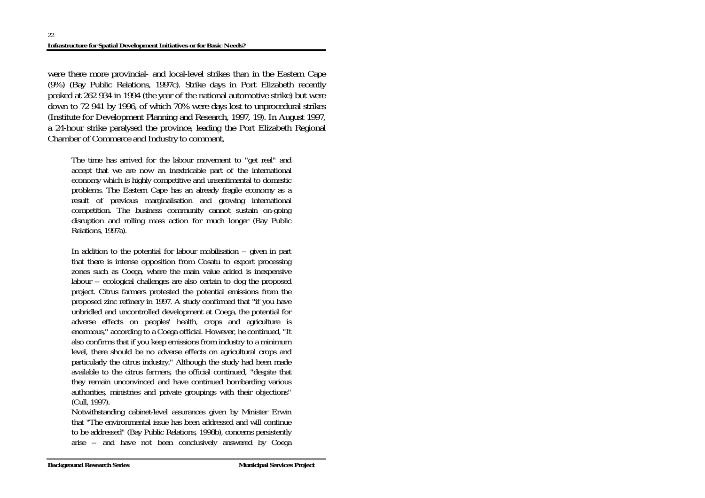were there more provincial- and local-level strikes than in the Eastern Cape (9%) (Bay Public Relations, 1997c). Strike days in Port Elizabeth recently peaked at 262 934 in 1994 (the year of the national automotive strike) but were down to 72 941 by 1996, of which 70% were days lost to unprocedural strikes (Institute for Development Planning and Research, 1997, 19). In August 1997, a 24-hour strike paralysed the province, leading the Port Elizabeth Regional Chamber of Commerce and Industry to comment,

The time has arrived for the labour movement to "get real" and accept that we are now an inextricable part of the international economy which is highly competitive and unsentimental to domestic problems. The Eastern Cape has an already fragile economy as a result of previous marginalisation and growing international competition. The business community cannot sustain on-going disruption and rolling mass action for much longer (Bay Public Relations, 1997a).

In addition to the potential for labour mobilisation -- given in part that there is intense opposition from Cosatu to export processing zones such as Coega, where the main value added is inexpensive labour -- ecological challenges are also certain to dog the proposed project. Citrus farmers protested the potential emissions from the proposed zinc refinery in 1997. A study confirmed that "if you have unbridled and uncontrolled development at Coega, the potential for adverse effects on peoples' health, crops and agriculture is enormous," according to a Coega official. However, he continued, "It also confirms that if you keep emissions from industry to a minimum level, there should be no adverse effects on agricultural crops and particularly the citrus industry." Although the study had been made available to the citrus farmers, the official continued, "despite that they remain unconvinced and have continued bombarding various authorities, ministries and private groupings with their objections" (Cull, 1997).

Notwithstanding cabinet-level assurances given by Minister Erwin that "The environmental issue has been addressed and will continue to be addressed" (Bay Public Relations, 1998b), concerns persistently arise -- and have not been conclusively answered by Coega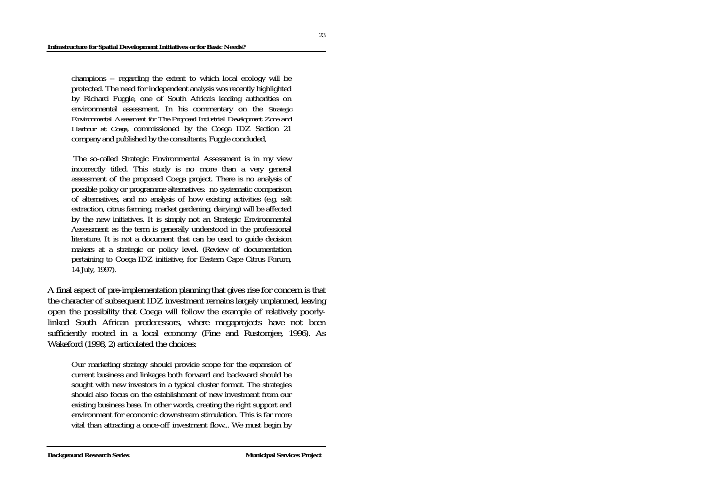champions -- regarding the extent to which local ecology will be protected. The need for independent analysis was recently highlighted by Richard Fuggle, one of South Africa's leading authorities on environmental assessment. In his commentary on the *Strategic Environmental Assessment for The Proposed Industrial Development Zone and Harbour at Coega*, commissioned by the Coega IDZ Section 21 company and published by the consultants, Fuggle concluded,

 The so-called Strategic Environmental Assessment is in my view incorrectly titled. This study is no more than a very general assessment of the proposed Coega project. There is no analysis of possible policy or programme alternatives: no systematic comparison of alternatives, and no analysis of how existing activities (e.g. salt extraction, citrus farming, market gardening, dairying) will be affected by the new initiatives. It is simply not an Strategic Environmental Assessment as the term is generally understood in the professional literature. It is not a document that can be used to guide decision makers at a strategic or policy level. (Review of documentation pertaining to Coega IDZ initiative, for Eastern Cape Citrus Forum, 14 July, 1997).

A final aspect of pre-implementation planning that gives rise for concern is that the character of subsequent IDZ investment remains largely unplanned, leaving open the possibility that Coega will follow the example of relatively poorlylinked South African predecessors, where megaprojects have not been sufficiently rooted in a local economy (Fine and Rustomjee, 1996). As Wakeford (1998, 2) articulated the choices:

Our marketing strategy should provide scope for the expansion of current business and linkages both forward and backward should be sought with new investors in a typical cluster format. The strategies should also focus on the establishment of new investment from our existing business base. In other words, creating the right support and environment for economic downstream stimulation. This is far more vital than attracting a once-off investment flow... We must begin by

**Background Research Series Municipal Services Project Municipal Services Project**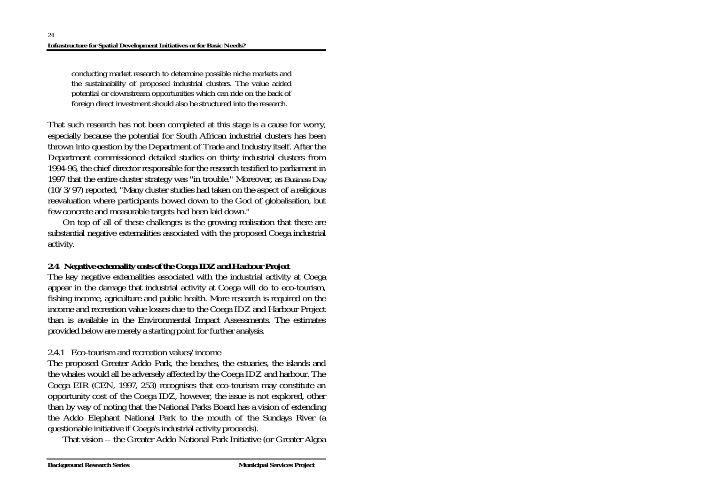conducting market research to determine possible niche markets and the sustainability of proposed industrial clusters. The value added potential or downstream opportunities which can ride on the back of foreign direct investment should also be structured into the research.

That such research has not been completed at this stage is a cause for worry, especially because the potential for South African industrial clusters has been thrown into question by the Department of Trade and Industry itself. After the Department commissioned detailed studies on thirty industrial clusters from 1994-96, the chief director responsible for the research testified to parliament in 1997 that the entire cluster strategy was "in trouble." Moreover, as *Business Day* (10/3/97) reported, "Many cluster studies had taken on the aspect of a religious reevaluation where participants bowed down to the God of globalisation, but few concrete and measurable targets had been laid down."

 On top of all of these challenges is the growing realisation that there are substantial negative externalities associated with the proposed Coega industrial activity.

## *2.4 Negative externality costs of the Coega IDZ and Harbour Project*

The key negative externalities associated with the industrial activity at Coega appear in the damage that industrial activity at Coega will do to eco-tourism, fishing income, agriculture and public health. More research is required on the income and recreation value losses due to the Coega IDZ and Harbour Project than is available in the Environmental Impact Assessments. The estimates provided below are merely a starting point for further analysis.

## 2.4.1 Eco-tourism and recreation values/income

The proposed Greater Addo Park, the beaches, the estuaries, the islands and the whales would all be adversely affected by the Coega IDZ and harbour. The Coega EIR (CEN, 1997, 253) recognises that eco-tourism may constitute an opportunity cost of the Coega IDZ, however, the issue is not explored, other than by way of noting that the National Parks Board has a vision of extending the Addo Elephant National Park to the mouth of the Sundays River (a questionable initiative if Coega's industrial activity proceeds).

That vision -- the Greater Addo National Park Initiative (or Greater Algoa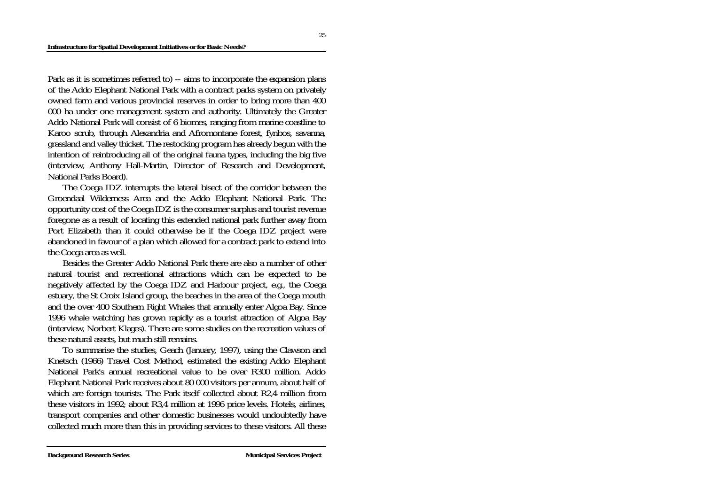Park as it is sometimes referred to) -- aims to incorporate the expansion plans of the Addo Elephant National Park with a contract parks system on privately owned farm and various provincial reserves in order to bring more than 400 000 ha under one management system and authority. Ultimately the Greater Addo National Park will consist of 6 biomes, ranging from marine coastline to Karoo scrub, through Alexandria and Afromontane forest, fynbos, savanna, grassland and valley thicket. The restocking program has already begun with the intention of reintroducing all of the original fauna types, including the big five (interview, Anthony Hall-Martin, Director of Research and Development, National Parks Board).

 The Coega IDZ interrupts the lateral bisect of the corridor between the Groendaal Wilderness Area and the Addo Elephant National Park. The opportunity cost of the Coega IDZ is the consumer surplus and tourist revenue foregone as a result of locating this extended national park further away from Port Elizabeth than it could otherwise be if the Coega IDZ project were abandoned in favour of a plan which allowed for a contract park to extend into the Coega area as well.

 Besides the Greater Addo National Park there are also a number of other natural tourist and recreational attractions which can be expected to be negatively affected by the Coega IDZ and Harbour project, e.g., the Coega estuary, the St Croix Island group, the beaches in the area of the Coega mouth and the over 400 Southern Right Whales that annually enter Algoa Bay. Since 1996 whale watching has grown rapidly as a tourist attraction of Algoa Bay (interview, Norbert Klages). There are some studies on the recreation values of these natural assets, but much still remains.

 To summarise the studies, Geach (January, 1997), using the Clawson and Knetsch (1966) Travel Cost Method, estimated the existing Addo Elephant National Park's annual recreational value to be over R300 million. Addo Elephant National Park receives about 80 000 visitors per annum, about half of which are foreign tourists. The Park itself collected about R2,4 million from these visitors in 1992; about R3,4 million at 1996 price levels. Hotels, airlines, transport companies and other domestic businesses would undoubtedly have collected much more than this in providing services to these visitors. All these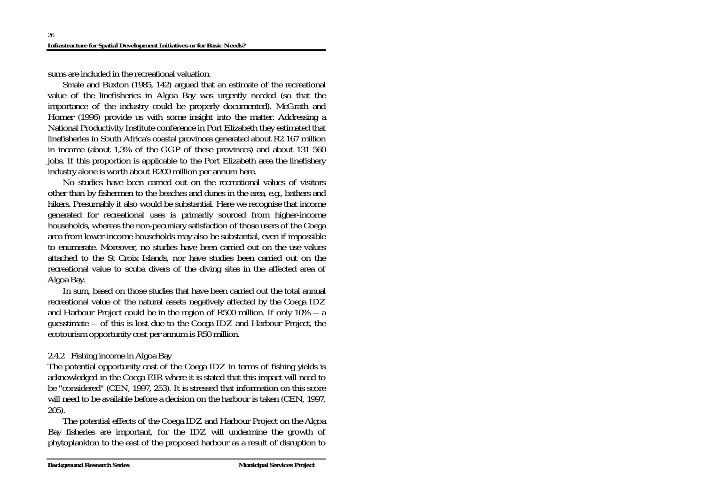sums are included in the recreational valuation.

 Smale and Buxton (1985, 142) argued that an estimate of the recreational value of the linefisheries in Algoa Bay was urgently needed (so that the importance of the industry could be properly documented). McGrath and Horner (1996) provide us with some insight into the matter. Addressing a National Productivity Institute conference in Port Elizabeth they estimated that linefisheries in South Africa's coastal provinces generated about R2 167 million in income (about 1,3% of the GGP of these provinces) and about 131 560 jobs. If this proportion is applicable to the Port Elizabeth area the linefishery industry alone is worth about R200 million per annum here.

 No studies have been carried out on the recreational values of visitors other than by fishermen to the beaches and dunes in the area, e.g., bathers and hikers. Presumably it also would be substantial. Here we recognise that income generated for recreational uses is primarily sourced from higher-income households, whereas the non-pecuniary satisfaction of those users of the Coega area from lower-income households may also be substantial, even if impossible to enumerate. Moreover, no studies have been carried out on the use values attached to the St Croix Islands, nor have studies been carried out on the recreational value to scuba divers of the diving sites in the affected area of Algoa Bay.

 In sum, based on those studies that have been carried out the total annual recreational value of the natural assets negatively affected by the Coega IDZ and Harbour Project could be in the region of R500 million. If only 10% -- a guesstimate -- of this is lost due to the Coega IDZ and Harbour Project, the ecotourism opportunity cost per annum is R50 million.

# 2.4.2 Fishing income in Algoa Bay

The potential opportunity cost of the Coega IDZ in terms of fishing yields is acknowledged in the Coega EIR where it is stated that this impact will need to be "considered" (CEN, 1997, 253). It is stressed that information on this score will need to be available before a decision on the harbour is taken (CEN, 1997, 205).

 The potential effects of the Coega IDZ and Harbour Project on the Algoa Bay fisheries are important, for the IDZ will undermine the growth of phytoplankton to the east of the proposed harbour as a result of disruption to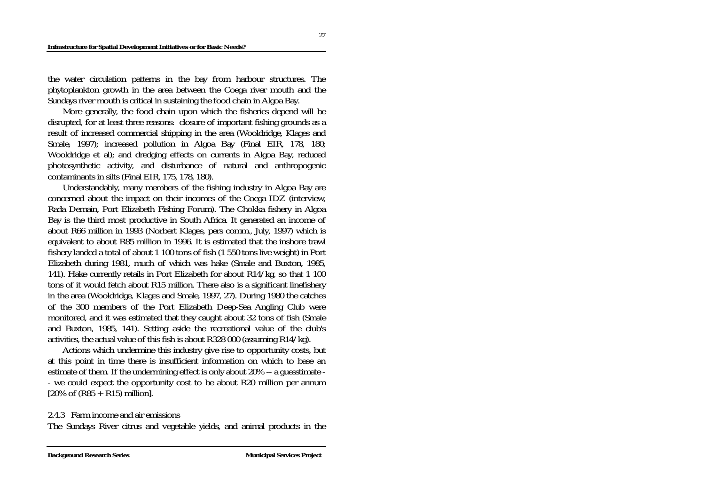#### **Infrastructure for Spatial Development Initiatives or for Basic Needs?**

the water circulation patterns in the bay from harbour structures. The phytoplankton growth in the area between the Coega river mouth and the Sundays river mouth is critical in sustaining the food chain in Algoa Bay.

 More generally, the food chain upon which the fisheries depend will be disrupted, for at least three reasons: closure of important fishing grounds as a result of increased commercial shipping in the area (Wooldridge, Klages and Smale, 1997); increased pollution in Algoa Bay (Final EIR, 178, 180; Wooldridge et al); and dredging effects on currents in Algoa Bay, reduced photosynthetic activity, and disturbance of natural and anthropogenic contaminants in silts (Final EIR, 175, 178, 180).

 Understandably, many members of the fishing industry in Algoa Bay are concerned about the impact on their incomes of the Coega IDZ (interview, Rada Demain, Port Elizabeth Fishing Forum). The Chokka fishery in Algoa Bay is the third most productive in South Africa. It generated an income of about R66 million in 1993 (Norbert Klages, pers comm., July, 1997) which is equivalent to about R85 million in 1996. It is estimated that the inshore trawl fishery landed a total of about 1 100 tons of fish (1 550 tons live weight) in Port Elizabeth during 1981, much of which was hake (Smale and Buxton, 1985, 141). Hake currently retails in Port Elizabeth for about R14/kg, so that 1 100 tons of it would fetch about R15 million. There also is a significant linefishery in the area (Wooldridge, Klages and Smale, 1997, 27). During 1980 the catches of the 300 members of the Port Elizabeth Deep-Sea Angling Club were monitored, and it was estimated that they caught about 32 tons of fish (Smale and Buxton, 1985, 141). Setting aside the recreational value of the club's activities, the actual value of this fish is about R328 000 (assuming R14/kg).

 Actions which undermine this industry give rise to opportunity costs, but at this point in time there is insufficient information on which to base an estimate of them. If the undermining effect is only about 20% -- a guesstimate - - we could expect the opportunity cost to be about R20 million per annum  $[20\% \text{ of } (R85 + R15) \text{ million}].$ 

### 2.4.3 Farm income and air emissions

The Sundays River citrus and vegetable yields, and animal products in the

27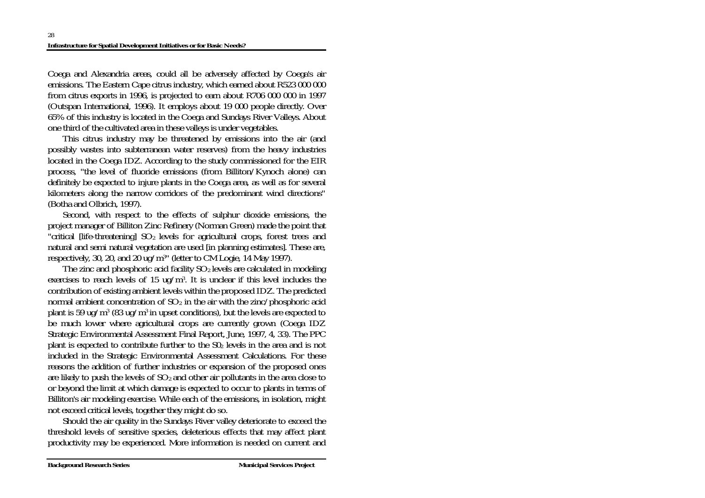Coega and Alexandria areas, could all be adversely affected by Coega's air emissions. The Eastern Cape citrus industry, which earned about R523 000 000 from citrus exports in 1996, is projected to earn about R706 000 000 in 1997 (Outspan International, 1996). It employs about 19 000 people directly. Over 65% of this industry is located in the Coega and Sundays River Valleys. About one third of the cultivated area in these valleys is under vegetables.

 This citrus industry may be threatened by emissions into the air (and possibly wastes into subterranean water reserves) from the heavy industries located in the Coega IDZ. According to the study commissioned for the EIR process, "the level of fluoride emissions (from Billiton/Kynoch alone) can definitely be expected to injure plants in the Coega area, as well as for several kilometers along the narrow corridors of the predominant wind directions" (Botha and Olbrich, 1997).

 Second, with respect to the effects of sulphur dioxide emissions, the project manager of Billiton Zinc Refinery (Norman Green) made the point that "critical  $[life$ -threatening]  $SO<sub>2</sub>$  levels for agricultural crops, forest trees and natural and semi natural vegetation are used [in planning estimates]. These are, respectively, 30, 20, and 20 ug/m3" (letter to CM Logie, 14 May 1997).

The zinc and phosphoric acid facility  $SO<sub>2</sub>$  levels are calculated in modeling exercises to reach levels of 15 ug/m3. It is unclear if this level includes the contribution of existing ambient levels within the proposed IDZ. The predicted normal ambient concentration of  $SO_2$  in the air with the zinc/phosphoric acid plant is 59 ug/m<sup>3</sup> (83 ug/m<sup>3</sup> in upset conditions), but the levels are expected to be much lower where agricultural crops are currently grown (Coega IDZ Strategic Environmental Assessment Final Report, June, 1997, 4, 33). The PPC plant is expected to contribute further to the S02 levels in the area and is not included in the Strategic Environmental Assessment Calculations. For these reasons the addition of further industries or expansion of the proposed ones are likely to push the levels of  $SO<sub>2</sub>$  and other air pollutants in the area close to or beyond the limit at which damage is expected to occur to plants in terms of Billiton's air modeling exercise. While each of the emissions, in isolation, might not exceed critical levels, together they might do so.

 Should the air quality in the Sundays River valley deteriorate to exceed the threshold levels of sensitive species, deleterious effects that may affect plant productivity may be experienced. More information is needed on current and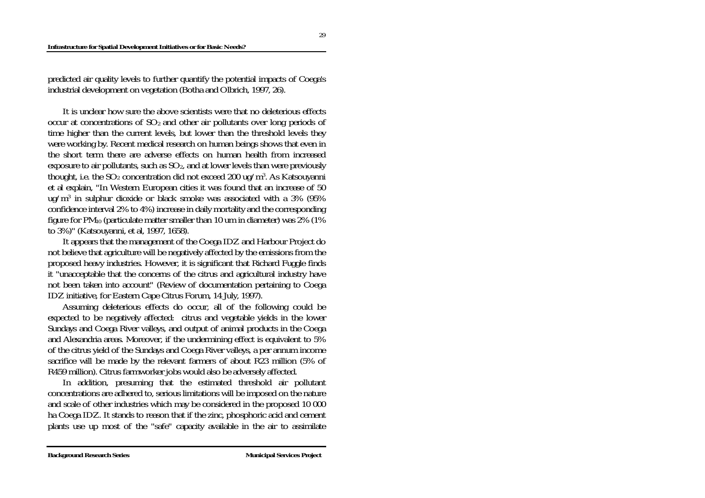#### **Infrastructure for Spatial Development Initiatives or for Basic Needs?**

predicted air quality levels to further quantify the potential impacts of Coega's industrial development on vegetation (Botha and Olbrich, 1997, 26).

 It is unclear how sure the above scientists were that no deleterious effects occur at concentrations of  $SO<sub>2</sub>$  and other air pollutants over long periods of time higher than the current levels, but lower than the threshold levels they were working by. Recent medical research on human beings shows that even in the short term there are adverse effects on human health from increased exposure to air pollutants, such as  $SO<sub>2</sub>$ , and at lower levels than were previously thought, i.e. the  $SO_2$  concentration did not exceed 200 ug/m<sup>3</sup>. As Katsouyanni et al explain, "In Western European cities it was found that an increase of 50 ug/m3 in sulphur dioxide or black smoke was associated with a 3% (95% confidence interval 2% to 4%) increase in daily mortality and the corresponding figure for  $PM_{10}$  (particulate matter smaller than 10 um in diameter) was 2% (1%) to 3%)" (Katsouyanni, et al, 1997, 1658).

 It appears that the management of the Coega IDZ and Harbour Project do not believe that agriculture will be negatively affected by the emissions from the proposed heavy industries. However, it is significant that Richard Fuggle finds it "unacceptable that the concerns of the citrus and agricultural industry have not been taken into account" (Review of documentation pertaining to Coega IDZ initiative, for Eastern Cape Citrus Forum, 14 July, 1997).

 Assuming deleterious effects do occur, all of the following could be expected to be negatively affected: citrus and vegetable yields in the lower Sundays and Coega River valleys, and output of animal products in the Coega and Alexandria areas. Moreover, if the undermining effect is equivalent to 5% of the citrus yield of the Sundays and Coega River valleys, a per annum income sacrifice will be made by the relevant farmers of about R23 million (5% of R459 million). Citrus farmworker jobs would also be adversely affected.

 In addition, presuming that the estimated threshold air pollutant concentrations are adhered to, serious limitations will be imposed on the nature and scale of other industries which may be considered in the proposed 10 000 ha Coega IDZ. It stands to reason that if the zinc, phosphoric acid and cement plants use up most of the "safe" capacity available in the air to assimilate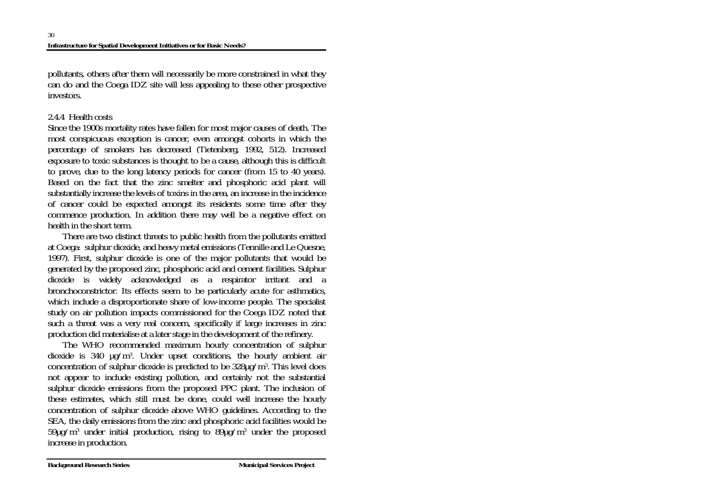pollutants, others after them will necessarily be more constrained in what they can do and the Coega IDZ site will less appealing to these other prospective investors.

## 2.4.4 Health costs

Since the 1900s mortality rates have fallen for most major causes of death. The most conspicuous exception is cancer, even amongst cohorts in which the percentage of smokers has decreased (Tietenberg, 1992, 512). Increased exposure to toxic substances is thought to be a cause, although this is difficult to prove, due to the long latency periods for cancer (from 15 to 40 years). Based on the fact that the zinc smelter and phosphoric acid plant will substantially increase the levels of toxins in the area, an increase in the incidence of cancer could be expected amongst its residents some time after they commence production. In addition there may well be a negative effect on health in the short term.

 There are two distinct threats to public health from the pollutants emitted at Coega: sulphur dioxide, and heavy metal emissions (Tennille and Le Quesne, 1997). First, sulphur dioxide is one of the major pollutants that would be generated by the proposed zinc, phosphoric acid and cement facilities. Sulphur dioxide is widely acknowledged as a respirator irritant and a bronchoconstrictor. Its effects seem to be particularly acute for asthmatics, which include a disproportionate share of low-income people. The specialist study on air pollution impacts commissioned for the Coega IDZ noted that such a threat was a very real concern, specifically if large increases in zinc production did materialise at a later stage in the development of the refinery.

 The WHO recommended maximum hourly concentration of sulphur dioxide is 340 µg/m3. Under upset conditions, the hourly ambient air concentration of sulphur dioxide is predicted to be  $328\mu$ g/m<sup>3</sup>. This level does not appear to include existing pollution, and certainly not the substantial sulphur dioxide emissions from the proposed PPC plant. The inclusion of these estimates, which still must be done, could well increase the hourly concentration of sulphur dioxide above WHO guidelines. According to the SEA, the daily emissions from the zinc and phosphoric acid facilities would be  $59\mu$ g/m<sup>3</sup> under initial production, rising to  $89\mu$ g/m<sup>3</sup> under the proposed increase in production.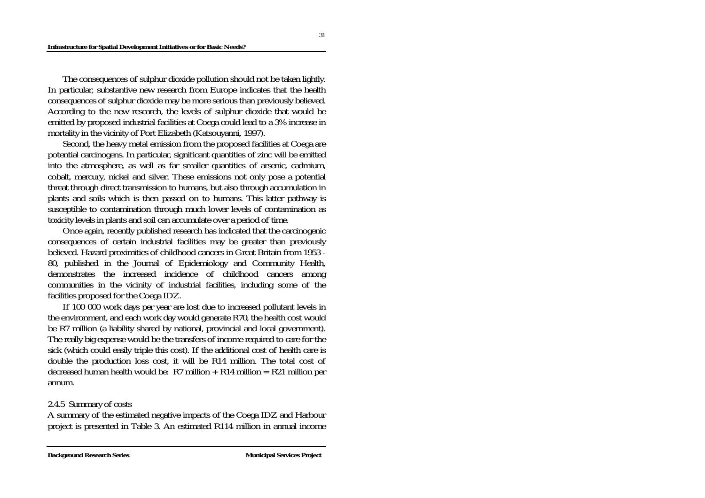The consequences of sulphur dioxide pollution should not be taken lightly. In particular, substantive new research from Europe indicates that the health consequences of sulphur dioxide may be more serious than previously believed. According to the new research, the levels of sulphur dioxide that would be emitted by proposed industrial facilities at Coega could lead to a 3% increase in mortality in the vicinity of Port Elizabeth (Katsouyanni, 1997).

 Second, the heavy metal emission from the proposed facilities at Coega are potential carcinogens. In particular, significant quantities of zinc will be emitted into the atmosphere, as well as far smaller quantities of arsenic, cadmium, cobalt, mercury, nickel and silver. These emissions not only pose a potential threat through direct transmission to humans, but also through accumulation in plants and soils which is then passed on to humans. This latter pathway is susceptible to contamination through much lower levels of contamination as toxicity levels in plants and soil can accumulate over a period of time.

 Once again, recently published research has indicated that the carcinogenic consequences of certain industrial facilities may be greater than previously believed. Hazard proximities of childhood cancers in Great Britain from 1953 - 80, published in the Journal of Epidemiology and Community Health, demonstrates the increased incidence of childhood cancers among communities in the vicinity of industrial facilities, including some of the facilities proposed for the Coega IDZ.

 If 100 000 work days per year are lost due to increased pollutant levels in the environment, and each work day would generate R70, the health cost would be R7 million (a liability shared by national, provincial and local government). The really big expense would be the transfers of income required to care for the sick (which could easily triple this cost). If the additional cost of health care is double the production loss cost, it will be R14 million. The total cost of decreased human health would be:  $R7$  million +  $R14$  million =  $R21$  million per annum.

### 2.4.5 Summary of costs

A summary of the estimated negative impacts of the Coega IDZ and Harbour project is presented in Table 3. An estimated R114 million in annual income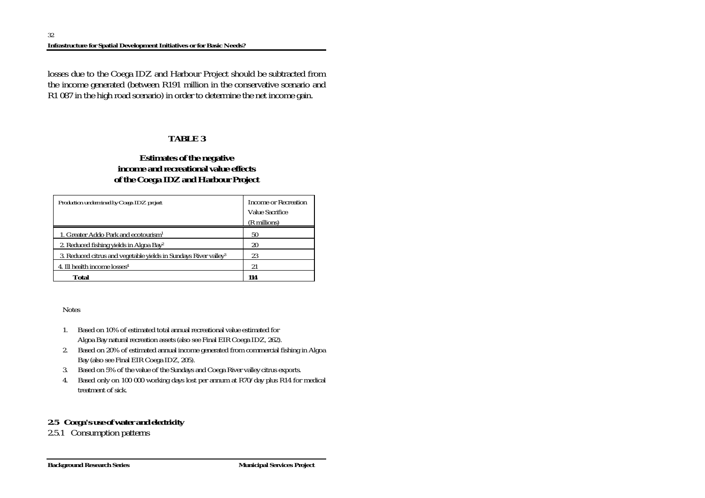losses due to the Coega IDZ and Harbour Project should be subtracted from the income generated (between R191 million in the conservative scenario and R1 087 in the high road scenario) in order to determine the net income gain.

## **TABLE 3**

## **Estimates of the negative income and recreational value effects of the Coega IDZ and Harbour Project**

| Production undermined by Coega IDZ project                                  | Income or Recreation<br><b>Value Sacrifice</b><br>(R millions) |
|-----------------------------------------------------------------------------|----------------------------------------------------------------|
| 1. Greater Addo Park and ecotourism <sup>1</sup>                            | 50                                                             |
| 2. Reduced fishing yields in Algoa Bay <sup>2</sup>                         | 20                                                             |
| 3. Reduced citrus and vegetable yields in Sundays River valley <sup>3</sup> | 23                                                             |
| 4. Ill health income losses <sup>4</sup>                                    | 21                                                             |
| Total                                                                       | 114                                                            |

Notes

- 1. Based on 10% of estimated total annual recreational value estimated for Algoa Bay natural recreation assets (also see Final EIR Coega IDZ, 262).
- 2. Based on 20% of estimated annual income generated from commercial fishing in Algoa Bay (also see Final EIR Coega IDZ, 205).
- 3. Based on 5% of the value of the Sundays and Coega River valley citrus exports.
- 4. Based only on 100 000 working days lost per annum at R70/day plus R14 for medical treatment of sick.

# *2.5 Coega's use of water and electricity*

2.5.1 Consumption patterns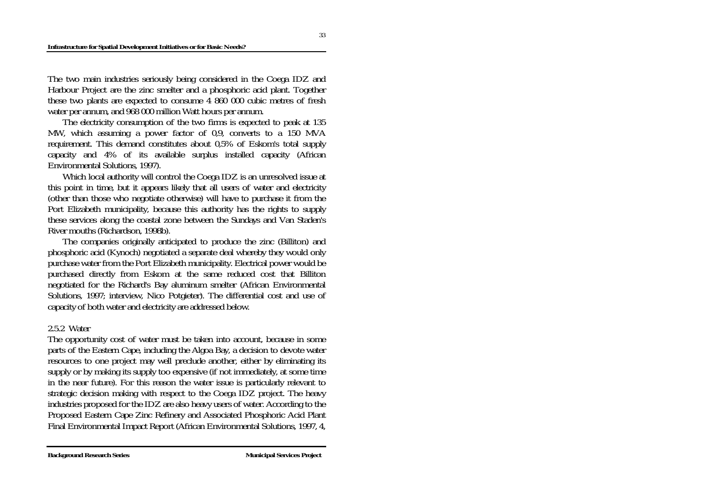#### **Infrastructure for Spatial Development Initiatives or for Basic Needs?**

The two main industries seriously being considered in the Coega IDZ and Harbour Project are the zinc smelter and a phosphoric acid plant. Together these two plants are expected to consume 4 860 000 cubic metres of fresh water per annum, and 968 000 million Watt hours per annum.

 The electricity consumption of the two firms is expected to peak at 135 MW, which assuming a power factor of 0,9, converts to a 150 MVA requirement. This demand constitutes about 0,5% of Eskom's total supply capacity and 4% of its available surplus installed capacity (African Environmental Solutions, 1997).

 Which local authority will control the Coega IDZ is an unresolved issue at this point in time, but it appears likely that all users of water and electricity (other than those who negotiate otherwise) will have to purchase it from the Port Elizabeth municipality, because this authority has the rights to supply these services along the coastal zone between the Sundays and Van Staden's River mouths (Richardson, 1998b).

 The companies originally anticipated to produce the zinc (Billiton) and phosphoric acid (Kynoch) negotiated a separate deal whereby they would only purchase water from the Port Elizabeth municipality. Electrical power would be purchased directly from Eskom at the same reduced cost that Billiton negotiated for the Richard's Bay aluminum smelter (African Environmental Solutions, 1997; interview, Nico Potgieter). The differential cost and use of capacity of both water and electricity are addressed below.

### 2.5.2 Water

The opportunity cost of water must be taken into account, because in some parts of the Eastern Cape, including the Algoa Bay, a decision to devote water resources to one project may well preclude another, either by eliminating its supply or by making its supply too expensive (if not immediately, at some time in the near future). For this reason the water issue is particularly relevant to strategic decision making with respect to the Coega IDZ project. The heavy industries proposed for the IDZ are also heavy users of water. According to the Proposed Eastern Cape Zinc Refinery and Associated Phosphoric Acid Plant Final Environmental Impact Report (African Environmental Solutions, 1997, 4,

33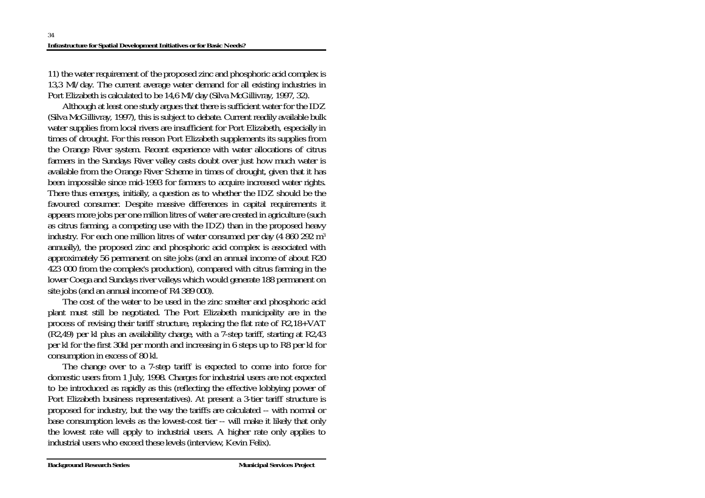11) the water requirement of the proposed zinc and phosphoric acid complex is 13,3 Ml/day. The current average water demand for all existing industries in Port Elizabeth is calculated to be 14,6 Ml/day (Silva McGillivray, 1997, 32).

 Although at least one study argues that there is sufficient water for the IDZ (Silva McGillivray, 1997), this is subject to debate. Current readily available bulk water supplies from local rivers are insufficient for Port Elizabeth, especially in times of drought. For this reason Port Elizabeth supplements its supplies from the Orange River system. Recent experience with water allocations of citrus farmers in the Sundays River valley casts doubt over just how much water is available from the Orange River Scheme in times of drought, given that it has been impossible since mid-1993 for farmers to acquire increased water rights. There thus emerges, initially, a question as to whether the IDZ should be the favoured consumer. Despite massive differences in capital requirements it appears more jobs per one million litres of water are created in agriculture (such as citrus farming, a competing use with the IDZ) than in the proposed heavy industry. For each one million litres of water consumed per day (4 860 292 m<sup>3</sup> annually), the proposed zinc and phosphoric acid complex is associated with approximately 56 permanent on site jobs (and an annual income of about R20 423 000 from the complex's production), compared with citrus farming in the lower Coega and Sundays river valleys which would generate 188 permanent on site jobs (and an annual income of R4 389 000).

 The cost of the water to be used in the zinc smelter and phosphoric acid plant must still be negotiated. The Port Elizabeth municipality are in the process of revising their tariff structure, replacing the flat rate of R2,18+VAT (R2,49) per kl plus an availability charge, with a 7-step tariff, starting at R2,43 per kl for the first 30kl per month and increasing in 6 steps up to R8 per kl for consumption in excess of 80 kl.

 The change over to a 7-step tariff is expected to come into force for domestic users from 1 July, 1998. Charges for industrial users are not expected to be introduced as rapidly as this (reflecting the effective lobbying power of Port Elizabeth business representatives). At present a 3-tier tariff structure is proposed for industry, but the way the tariffs are calculated -- with normal or base consumption levels as the lowest-cost tier -- will make it likely that only the lowest rate will apply to industrial users. A higher rate only applies to industrial users who exceed these levels (interview, Kevin Felix).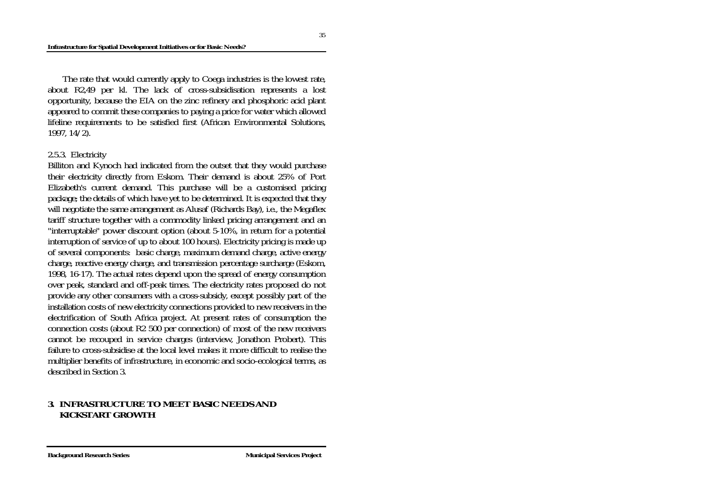#### **Infrastructure for Spatial Development Initiatives or for Basic Needs?**

 The rate that would currently apply to Coega industries is the lowest rate, about R2,49 per kl. The lack of cross-subsidisation represents a lost opportunity, because the EIA on the zinc refinery and phosphoric acid plant appeared to commit these companies to paying a price for water which allowed lifeline requirements to be satisfied first (African Environmental Solutions, 1997, 14/2).

### 2.5.3. Electricity

Billiton and Kynoch had indicated from the outset that they would purchase their electricity directly from Eskom. Their demand is about 25% of Port Elizabeth's current demand. This purchase will be a customised pricing package; the details of which have yet to be determined. It is expected that they will negotiate the same arrangement as Alusaf (Richards Bay), i.e., the Megaflex tariff structure together with a commodity linked pricing arrangement and an "interruptable" power discount option (about 5-10%, in return for a potential interruption of service of up to about 100 hours). Electricity pricing is made up of several components: basic charge, maximum demand charge, active energy charge, reactive energy charge, and transmission percentage surcharge (Eskom, 1998, 16-17). The actual rates depend upon the spread of energy consumption over peak, standard and off-peak times. The electricity rates proposed do not provide any other consumers with a cross-subsidy, except possibly part of the installation costs of new electricity connections provided to new receivers in the electrification of South Africa project. At present rates of consumption the connection costs (about R2 500 per connection) of most of the new receivers cannot be recouped in service charges (interview, Jonathon Probert). This failure to cross-subsidise at the local level makes it more difficult to realise the multiplier benefits of infrastructure, in economic and socio-ecological terms, as described in Section 3.

### **3. INFRASTRUCTURE TO MEET BASIC NEEDS AND KICKSTART GROWTH**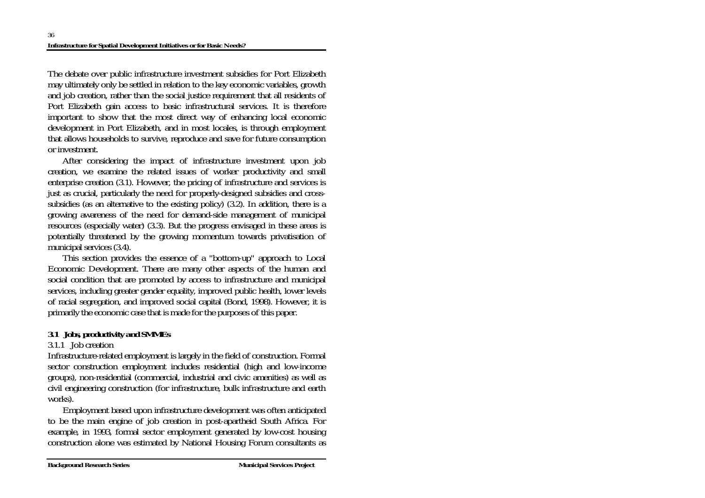The debate over public infrastructure investment subsidies for Port Elizabeth may ultimately only be settled in relation to the key economic variables, growth and job creation, rather than the social justice requirement that all residents of Port Elizabeth gain access to basic infrastructural services. It is therefore important to show that the most direct way of enhancing local economic development in Port Elizabeth, and in most locales, is through employment that allows households to survive, reproduce and save for future consumption or investment.

 After considering the impact of infrastructure investment upon job creation, we examine the related issues of worker productivity and small enterprise creation (3.1). However, the pricing of infrastructure and services is just as crucial, particularly the need for properly-designed subsidies and crosssubsidies (as an alternative to the existing policy) (3.2). In addition, there is a growing awareness of the need for demand-side management of municipal resources (especially water) (3.3). But the progress envisaged in these areas is potentially threatened by the growing momentum towards privatisation of municipal services (3.4).

 This section provides the essence of a "bottom-up" approach to Local Economic Development. There are many other aspects of the human and social condition that are promoted by access to infrastructure and municipal services, including greater gender equality, improved public health, lower levels of racial segregation, and improved social capital (Bond, 1998). However, it is primarily the economic case that is made for the purposes of this paper.

## *3.1 Jobs, productivity and SMMEs*

## 3.1.1 Job creation

Infrastructure-related employment is largely in the field of construction. Formal sector construction employment includes residential (high and low-income groups), non-residential (commercial, industrial and civic amenities) as well as civil engineering construction (for infrastructure, bulk infrastructure and earth works).

 Employment based upon infrastructure development was often anticipated to be the main engine of job creation in post-apartheid South Africa. For example, in 1993, formal sector employment generated by low-cost housing construction alone was estimated by National Housing Forum consultants as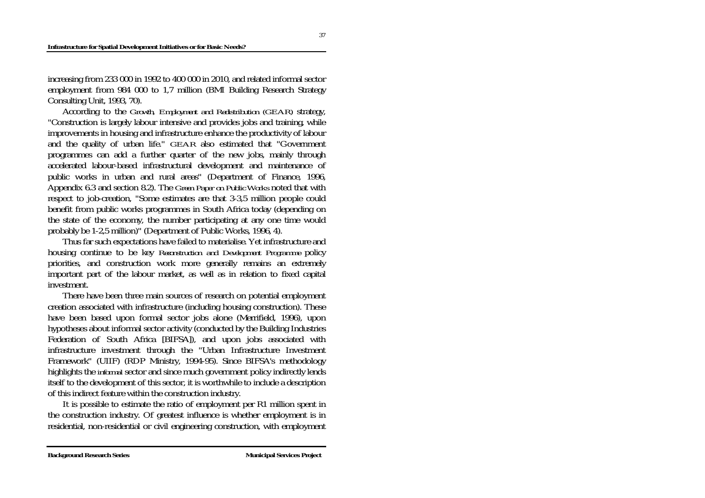#### **Infrastructure for Spatial Development Initiatives or for Basic Needs?**

increasing from 233 000 in 1992 to 400 000 in 2010, and related informal sector employment from 984 000 to 1,7 million (BMI Building Research Strategy Consulting Unit, 1993, 70).

 According to the *Growth, Employment and Redistribution (GEAR)* strategy, "Construction is largely labour intensive and provides jobs and training, while improvements in housing and infrastructure enhance the productivity of labour and the quality of urban life." *GEAR* also estimated that "Government programmes can add a further quarter of the new jobs, mainly through accelerated labour-based infrastructural development and maintenance of public works in urban and rural areas" (Department of Finance, 1996, Appendix 6.3 and section 8.2). The *Green Paper on Public Works* noted that with respect to job-creation, "Some estimates are that 3-3,5 million people could benefit from public works programmes in South Africa today (depending on the state of the economy, the number participating at any one time would probably be 1-2,5 million)" (Department of Public Works, 1996, 4).

 Thus far such expectations have failed to materialise. Yet infrastructure and housing continue to be key *Reconstruction and Development Programme* policy priorities, and construction work more generally remains an extremely important part of the labour market, as well as in relation to fixed capital investment.

 There have been three main sources of research on potential employment creation associated with infrastructure (including housing construction). These have been based upon formal sector jobs alone (Merrifield, 1996), upon hypotheses about informal sector activity (conducted by the Building Industries Federation of South Africa [BIFSA]), and upon jobs associated with infrastructure investment through the "Urban Infrastructure Investment Framework" (UIIF) (RDP Ministry, 1994-95). Since BIFSA's methodology highlights the *informal* sector and since much government policy indirectly lends itself to the development of this sector, it is worthwhile to include a description of this indirect feature within the construction industry.

 It is possible to estimate the ratio of employment per R1 million spent in the construction industry. Of greatest influence is whether employment is in residential, non-residential or civil engineering construction, with employment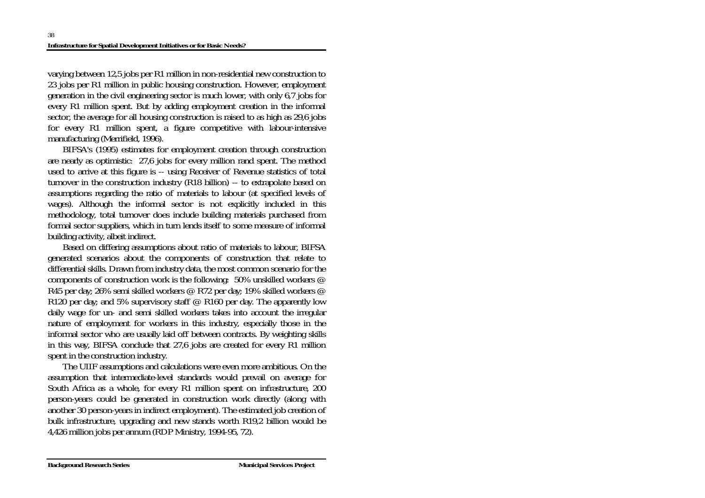varying between 12,5 jobs per R1 million in non-residential new construction to 23 jobs per R1 million in public housing construction. However, employment generation in the civil engineering sector is much lower, with only 6,7 jobs for every R1 million spent. But by adding employment creation in the informal sector, the average for all housing construction is raised to as high as 29,6 jobs for every R1 million spent, a figure competitive with labour-intensive manufacturing (Merrifield, 1996).

 BIFSA's (1995) estimates for employment creation through construction are nearly as optimistic: 27,6 jobs for every million rand spent. The method used to arrive at this figure is -- using Receiver of Revenue statistics of total turnover in the construction industry (R18 billion) -- to extrapolate based on assumptions regarding the ratio of materials to labour (at specified levels of wages). Although the informal sector is not explicitly included in this methodology, total turnover does include building materials purchased from formal sector suppliers, which in turn lends itself to some measure of informal building activity, albeit indirect.

 Based on differing assumptions about ratio of materials to labour, BIFSA generated scenarios about the components of construction that relate to differential skills. Drawn from industry data, the most common scenario for the components of construction work is the following: 50% unskilled workers @ R45 per day; 26% semi skilled workers @ R72 per day; 19% skilled workers @ R120 per day; and 5% supervisory staff  $\oslash$  R160 per day. The apparently low daily wage for un- and semi skilled workers takes into account the irregular nature of employment for workers in this industry, especially those in the informal sector who are usually laid off between contracts. By weighting skills in this way, BIFSA conclude that 27,6 jobs are created for every R1 million spent in the construction industry.

 The UIIF assumptions and calculations were even more ambitious. On the assumption that intermediate-level standards would prevail on average for South Africa as a whole, for every R1 million spent on infrastructure, 200 person-years could be generated in construction work directly (along with another 30 person-years in indirect employment). The estimated job creation of bulk infrastructure, upgrading and new stands worth R19,2 billion would be 4,426 million jobs per annum (RDP Ministry, 1994-95, 72).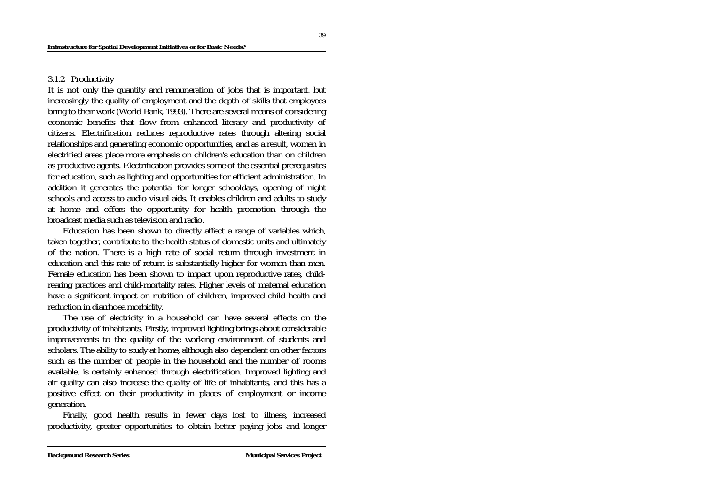### 3.1.2 Productivity

It is not only the quantity and remuneration of jobs that is important, but increasingly the quality of employment and the depth of skills that employees bring to their work (World Bank, 1993). There are several means of considering economic benefits that flow from enhanced literacy and productivity of citizens. Electrification reduces reproductive rates through altering social relationships and generating economic opportunities, and as a result, women in electrified areas place more emphasis on children's education than on children as productive agents. Electrification provides some of the essential prerequisites for education, such as lighting and opportunities for efficient administration. In addition it generates the potential for longer schooldays, opening of night schools and access to audio visual aids. It enables children and adults to study at home and offers the opportunity for health promotion through the broadcast media such as television and radio.

 Education has been shown to directly affect a range of variables which, taken together, contribute to the health status of domestic units and ultimately of the nation. There is a high rate of social return through investment in education and this rate of return is substantially higher for women than men. Female education has been shown to impact upon reproductive rates, childrearing practices and child-mortality rates. Higher levels of maternal education have a significant impact on nutrition of children, improved child health and reduction in diarrhoea morbidity.

 The use of electricity in a household can have several effects on the productivity of inhabitants. Firstly, improved lighting brings about considerable improvements to the quality of the working environment of students and scholars. The ability to study at home, although also dependent on other factors such as the number of people in the household and the number of rooms available, is certainly enhanced through electrification. Improved lighting and air quality can also increase the quality of life of inhabitants, and this has a positive effect on their productivity in places of employment or income generation.

 Finally, good health results in fewer days lost to illness, increased productivity, greater opportunities to obtain better paying jobs and longer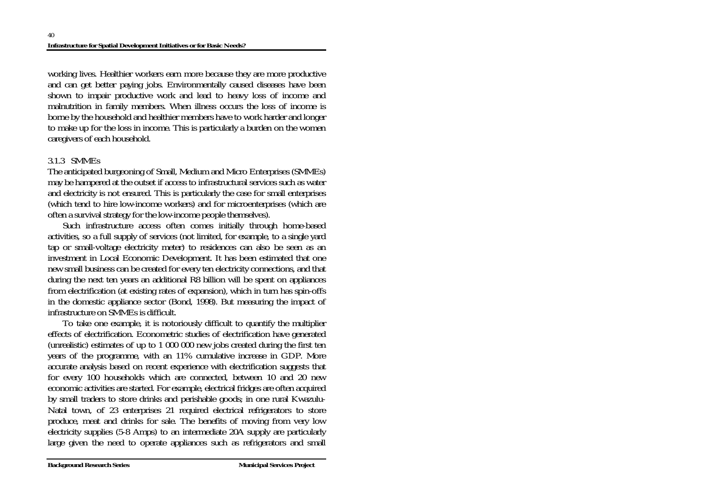working lives. Healthier workers earn more because they are more productive and can get better paying jobs. Environmentally caused diseases have been shown to impair productive work and lead to heavy loss of income and malnutrition in family members. When illness occurs the loss of income is borne by the household and healthier members have to work harder and longer to make up for the loss in income. This is particularly a burden on the women caregivers of each household.

## 3.1.3 SMMEs

The anticipated burgeoning of Small, Medium and Micro Enterprises (SMMEs) may be hampered at the outset if access to infrastructural services such as water and electricity is not ensured. This is particularly the case for small enterprises (which tend to hire low-income workers) and for microenterprises (which are often a survival strategy for the low-income people themselves).

 Such infrastructure access often comes initially through home-based activities, so a full supply of services (not limited, for example, to a single yard tap or small-voltage electricity meter) to residences can also be seen as an investment in Local Economic Development. It has been estimated that one new small business can be created for every ten electricity connections, and that during the next ten years an additional R8 billion will be spent on appliances from electrification (at existing rates of expansion), which in turn has spin-offs in the domestic appliance sector (Bond, 1998). But measuring the impact of infrastructure on SMMEs is difficult.

 To take one example, it is notoriously difficult to quantify the multiplier effects of electrification. Econometric studies of electrification have generated (unrealistic) estimates of up to 1 000 000 new jobs created during the first ten years of the programme, with an 11% cumulative increase in GDP. More accurate analysis based on recent experience with electrification suggests that for every 100 households which are connected, between 10 and 20 new economic activities are started. For example, electrical fridges are often acquired by small traders to store drinks and perishable goods; in one rural Kwazulu-Natal town, of 23 enterprises 21 required electrical refrigerators to store produce, meat and drinks for sale. The benefits of moving from very low electricity supplies (5-8 Amps) to an intermediate 20A supply are particularly large given the need to operate appliances such as refrigerators and small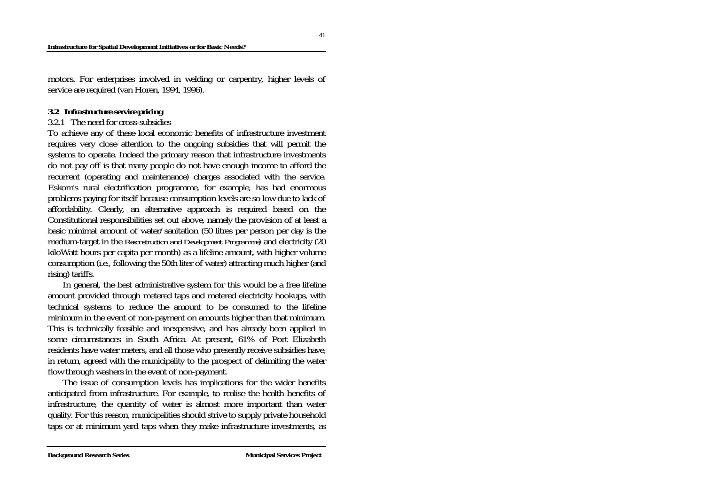motors. For enterprises involved in welding or carpentry, higher levels of service are required (van Horen, 1994, 1996).

### *3.2 Infrastructure service pricing*

### 3.2.1 The need for cross-subsidies

To achieve any of these local economic benefits of infrastructure investment requires very close attention to the ongoing subsidies that will permit the systems to operate. Indeed the primary reason that infrastructure investments do not pay off is that many people do not have enough income to afford the recurrent (operating and maintenance) charges associated with the service. Eskom's rural electrification programme, for example, has had enormous problems paying for itself because consumption levels are so low due to lack of affordability. Clearly, an alternative approach is required based on the Constitutional responsibilities set out above, namely the provision of at least a basic minimal amount of water/sanitation (50 litres per person per day is the medium-target in the *Reconstruction and Development Programme*) and electricity (20 kiloWatt hours per capita per month) as a lifeline amount, with higher volume consumption (i.e., following the 50th liter of water) attracting much higher (and rising) tariffs.

 In general, the best administrative system for this would be a free lifeline amount provided through metered taps and metered electricity hookups, with technical systems to reduce the amount to be consumed to the lifeline minimum in the event of non-payment on amounts higher than that minimum. This is technically feasible and inexpensive, and has already been applied in some circumstances in South Africa. At present, 61% of Port Elizabeth residents have water meters, and all those who presently receive subsidies have, in return, agreed with the municipality to the prospect of delimiting the water flow through washers in the event of non-payment.

 The issue of consumption levels has implications for the wider benefits anticipated from infrastructure. For example, to realise the health benefits of infrastructure, the quantity of water is almost more important than water quality. For this reason, municipalities should strive to supply private household taps or at minimum yard taps when they make infrastructure investments, as

41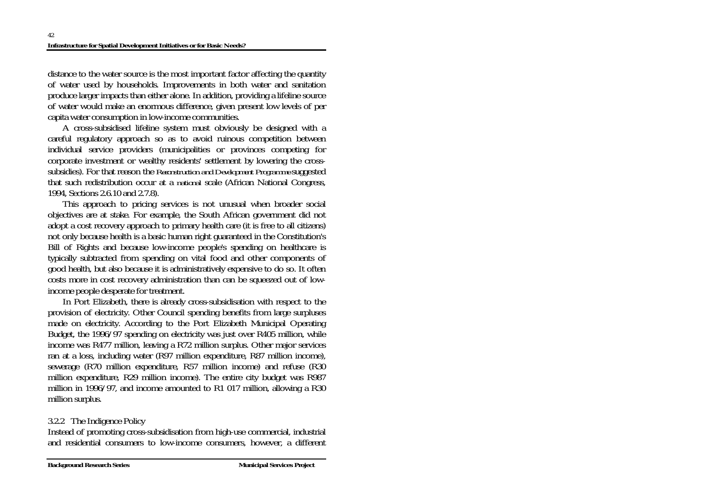distance to the water source is the most important factor affecting the quantity of water used by households. Improvements in both water and sanitation produce larger impacts than either alone. In addition, providing a lifeline source of water would make an enormous difference, given present low levels of per capita water consumption in low-income communities.

 A cross-subsidised lifeline system must obviously be designed with a careful regulatory approach so as to avoid ruinous competition between individual service providers (municipalities or provinces competing for corporate investment or wealthy residents' settlement by lowering the crosssubsidies). For that reason the *Reconstruction and Development Programme* suggested that such redistribution occur at a *national* scale (African National Congress, 1994, Sections 2.6.10 and 2.7.8).

 This approach to pricing services is not unusual when broader social objectives are at stake. For example, the South African government did not adopt a cost recovery approach to primary health care (it is free to all citizens) not only because health is a basic human right guaranteed in the Constitution's Bill of Rights and because low-income people's spending on healthcare is typically subtracted from spending on vital food and other components of good health, but also because it is administratively expensive to do so. It often costs more in cost recovery administration than can be squeezed out of lowincome people desperate for treatment.

 In Port Elizabeth, there is already cross-subsidisation with respect to the provision of electricity. Other Council spending benefits from large surpluses made on electricity. According to the Port Elizabeth Municipal Operating Budget, the 1996/97 spending on electricity was just over R405 million, while income was R477 million, leaving a R72 million surplus. Other major services ran at a loss, including water (R97 million expenditure, R87 million income), sewerage (R70 million expenditure, R57 million income) and refuse (R30 million expenditure, R29 million income). The entire city budget was R987 million in 1996/97, and income amounted to R1 017 million, allowing a R30 million surplus.

## 3.2.2 The Indigence Policy

Instead of promoting cross-subsidisation from high-use commercial, industrial and residential consumers to low-income consumers, however, a different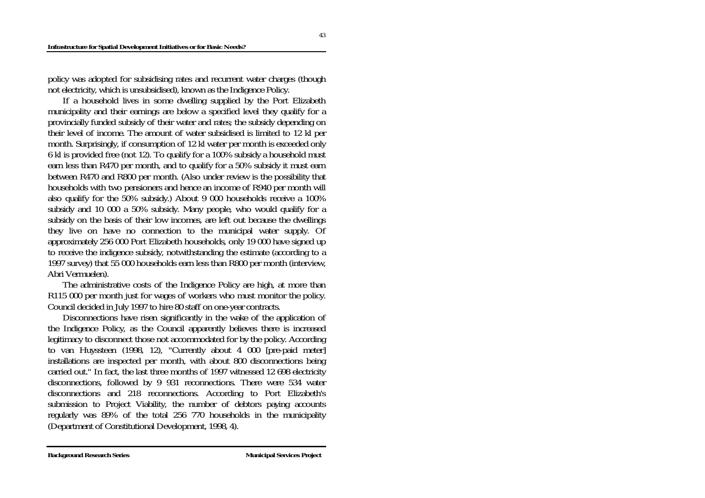#### **Infrastructure for Spatial Development Initiatives or for Basic Needs?**

policy was adopted for subsidising rates and recurrent water charges (though not electricity, which is unsubsidised), known as the Indigence Policy.

 If a household lives in some dwelling supplied by the Port Elizabeth municipality and their earnings are below a specified level they qualify for a provincially funded subsidy of their water and rates; the subsidy depending on their level of income. The amount of water subsidised is limited to 12 kl per month. Surprisingly, if consumption of 12 kl water per month is exceeded only 6 kl is provided free (not 12). To qualify for a 100% subsidy a household must earn less than R470 per month, and to qualify for a 50% subsidy it must earn between R470 and R800 per month. (Also under review is the possibility that households with two pensioners and hence an income of R940 per month will also qualify for the 50% subsidy.) About 9 000 households receive a 100% subsidy and 10 000 a 50% subsidy. Many people, who would qualify for a subsidy on the basis of their low incomes, are left out because the dwellings they live on have no connection to the municipal water supply. Of approximately 256 000 Port Elizabeth households, only 19 000 have signed up to receive the indigence subsidy, notwithstanding the estimate (according to a 1997 survey) that 55 000 households earn less than R800 per month (interview, Abri Vermuelen).

 The administrative costs of the Indigence Policy are high, at more than R115 000 per month just for wages of workers who must monitor the policy. Council decided in July 1997 to hire 80 staff on one-year contracts.

 Disconnections have risen significantly in the wake of the application of the Indigence Policy, as the Council apparently believes there is increased legitimacy to disconnect those not accommodated for by the policy. According to van Huyssteen (1998, 12), "Currently about 4 000 [pre-paid meter] installations are inspected per month, with about 800 disconnections being carried out." In fact, the last three months of 1997 witnessed 12 698 electricity disconnections, followed by 9 931 reconnections. There were 534 water disconnections and 218 reconnections. According to Port Elizabeth's submission to Project Viability, the number of debtors paying accounts regularly was 89% of the total 256 770 households in the municipality (Department of Constitutional Development, 1998, 4).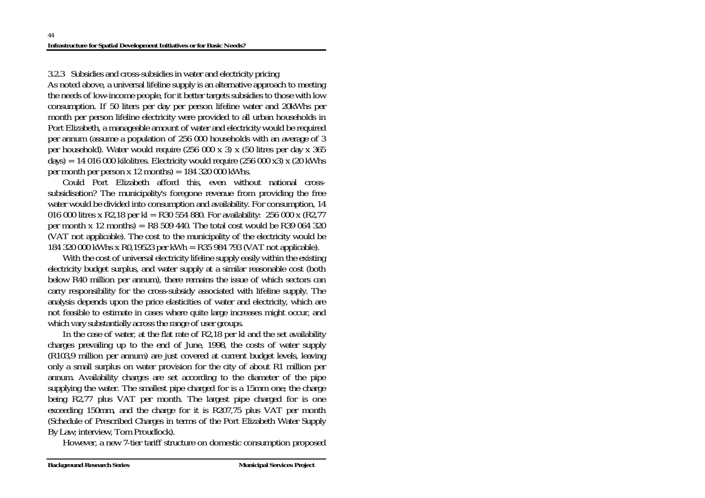3.2.3 Subsidies and cross-subsidies in water and electricity pricing

As noted above, a universal lifeline supply is an alternative approach to meeting the needs of low-income people, for it better targets subsidies to those with low consumption. If 50 liters per day per person lifeline water and 20kWhs per month per person lifeline electricity were provided to all urban households in Port Elizabeth, a manageable amount of water and electricity would be required per annum (assume a population of 256 000 households with an average of 3 per household). Water would require (256 000 x 3) x (50 litres per day x 365 days) = 14 016 000 kilolitres. Electricity would require (256 000 x3) x (20 kWhs per month per person x 12 months)  $= 184 320 000$  kWhs.

 Could Port Elizabeth afford this, even without national crosssubsidisation? The municipality's foregone revenue from providing the free water would be divided into consumption and availability. For consumption, 14 016 000 litres x R2,18 per kl = R30 554 880. For availability: 256 000 x (R2,77 per month x 12 months) =  $R8509440$ . The total cost would be R39 064 320 (VAT not applicable). The cost to the municipality of the electricity would be 184 320 000 kWhs x R0,19523 per kWh = R35 984 793 (VAT not applicable).

 With the cost of universal electricity lifeline supply easily within the existing electricity budget surplus, and water supply at a similar reasonable cost (both below R40 million per annum), there remains the issue of which sectors can carry responsibility for the cross-subsidy associated with lifeline supply. The analysis depends upon the price elasticities of water and electricity, which are not feasible to estimate in cases where quite large increases might occur, and which vary substantially across the range of user groups.

 In the case of water, at the flat rate of R2,18 per kl and the set availability charges prevailing up to the end of June, 1998, the costs of water supply (R103,9 million per annum) are just covered at current budget levels, leaving only a small surplus on water provision for the city of about R1 million per annum. Availability charges are set according to the diameter of the pipe supplying the water. The smallest pipe charged for is a 15mm one; the charge being R2,77 plus VAT per month. The largest pipe charged for is one exceeding 150mm, and the charge for it is R207,75 plus VAT per month (Schedule of Prescribed Charges in terms of the Port Elizabeth Water Supply By Law; interview, Tom Proudlock).

However, a new 7-tier tariff structure on domestic consumption proposed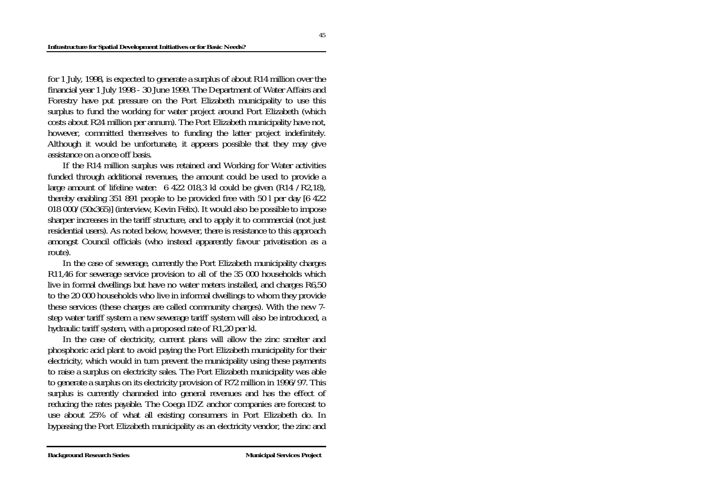for 1 July, 1998, is expected to generate a surplus of about R14 million over the financial year 1 July 1998 - 30 June 1999. The Department of Water Affairs and Forestry have put pressure on the Port Elizabeth municipality to use this surplus to fund the working for water project around Port Elizabeth (which costs about R24 million per annum). The Port Elizabeth municipality have not, however, committed themselves to funding the latter project indefinitely. Although it would be unfortunate, it appears possible that they may give assistance on a once off basis.

 If the R14 million surplus was retained and Working for Water activities funded through additional revenues, the amount could be used to provide a large amount of lifeline water: 6 422 018,3 kl could be given (R14 /R2,18), thereby enabling 351 891 people to be provided free with 50 l per day [6 422 018 000/(50x365)] (interview, Kevin Felix). It would also be possible to impose sharper increases in the tariff structure, and to apply it to commercial (not just residential users). As noted below, however, there is resistance to this approach amongst Council officials (who instead apparently favour privatisation as a route).

 In the case of sewerage, currently the Port Elizabeth municipality charges R11,46 for sewerage service provision to all of the 35 000 households which live in formal dwellings but have no water meters installed, and charges R6,50 to the 20 000 households who live in informal dwellings to whom they provide these services (these charges are called community charges). With the new 7 step water tariff system a new sewerage tariff system will also be introduced, a hydraulic tariff system, with a proposed rate of R1,20 per kl.

 In the case of electricity, current plans will allow the zinc smelter and phosphoric acid plant to avoid paying the Port Elizabeth municipality for their electricity, which would in turn prevent the municipality using these payments to raise a surplus on electricity sales. The Port Elizabeth municipality was able to generate a surplus on its electricity provision of R72 million in 1996/97. This surplus is currently channeled into general revenues and has the effect of reducing the rates payable. The Coega IDZ anchor companies are forecast to use about 25% of what all existing consumers in Port Elizabeth do. In bypassing the Port Elizabeth municipality as an electricity vendor, the zinc and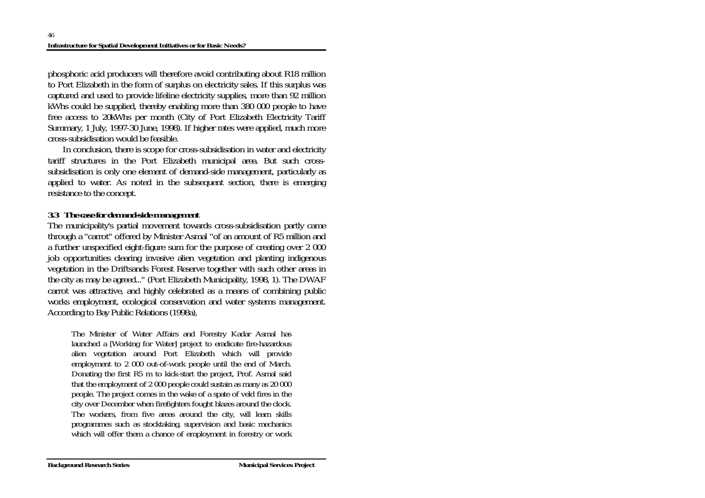phosphoric acid producers will therefore avoid contributing about R18 million to Port Elizabeth in the form of surplus on electricity sales. If this surplus was captured and used to provide lifeline electricity supplies, more than 92 million kWhs could be supplied, thereby enabling more than 380 000 people to have free access to 20kWhs per month (City of Port Elizabeth Electricity Tariff Summary, 1 July, 1997-30 June, 1998). If higher rates were applied, much more cross-subsidisation would be feasible.

 In conclusion, there is scope for cross-subsidisation in water and electricity tariff structures in the Port Elizabeth municipal area. But such crosssubsidisation is only one element of demand-side management, particularly as applied to water. As noted in the subsequent section, there is emerging resistance to the concept.

## *3.3 The case for demand-side management*

The municipality's partial movement towards cross-subsidisation partly came through a "carrot" offered by Minister Asmal "of an amount of R5 million and a further unspecified eight-figure sum for the purpose of creating over 2 000 job opportunities clearing invasive alien vegetation and planting indigenous vegetation in the Driftsands Forest Reserve together with such other areas in the city as may be agreed..." (Port Elizabeth Municipality, 1998, 1). The DWAF carrot was attractive, and highly celebrated as a means of combining public works employment, ecological conservation and water systems management. According to Bay Public Relations (1998a),

The Minister of Water Affairs and Forestry Kadar Asmal has launched a [Working for Water] project to eradicate fire-hazardous alien vegetation around Port Elizabeth which will provide employment to 2 000 out-of-work people until the end of March. Donating the first R5 m to kick-start the project, Prof. Asmal said that the employment of 2 000 people could sustain as many as 20 000 people. The project comes in the wake of a spate of veld fires in the city over December when firefighters fought blazes around the clock. The workers, from five areas around the city, will learn skills programmes such as stocktaking, supervision and basic mechanics which will offer them a chance of employment in forestry or work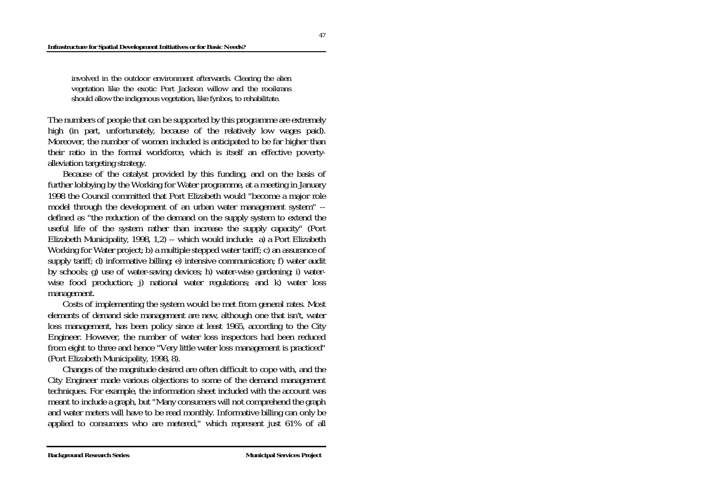#### **Infrastructure for Spatial Development Initiatives or for Basic Needs?**

involved in the outdoor environment afterwards. Clearing the alien vegetation like the exotic Port Jackson willow and the rooikrans should allow the indigenous vegetation, like fynbos, to rehabilitate.

The numbers of people that can be supported by this programme are extremely high (in part, unfortunately, because of the relatively low wages paid). Moreover, the number of women included is anticipated to be far higher than their ratio in the formal workforce, which is itself an effective povertyalleviation targeting strategy.

 Because of the catalyst provided by this funding, and on the basis of further lobbying by the Working for Water programme, at a meeting in January 1998 the Council committed that Port Elizabeth would "become a major role model through the development of an urban water management system" - defined as "the reduction of the demand on the supply system to extend the useful life of the system rather than increase the supply capacity" (Port Elizabeth Municipality, 1998, 1,2) -- which would include: a) a Port Elizabeth Working for Water project; b) a multiple stepped water tariff; c) an assurance of supply tariff; d) informative billing; e) intensive communication; f) water audit by schools; g) use of water-saving devices; h) water-wise gardening; i) waterwise food production; j) national water regulations; and k) water loss management.

 Costs of implementing the system would be met from general rates. Most elements of demand side management are new, although one that isn't, water loss management, has been policy since at least 1965, according to the City Engineer. However, the number of water loss inspectors had been reduced from eight to three and hence "Very little water loss management is practiced" (Port Elizabeth Municipality, 1998, 8).

 Changes of the magnitude desired are often difficult to cope with, and the City Engineer made various objections to some of the demand management techniques. For example, the information sheet included with the account was meant to include a graph, but "Many consumers will not comprehend the graph and water meters will have to be read monthly. Informative billing can only be applied to consumers who are metered," which represent just 61% of all

47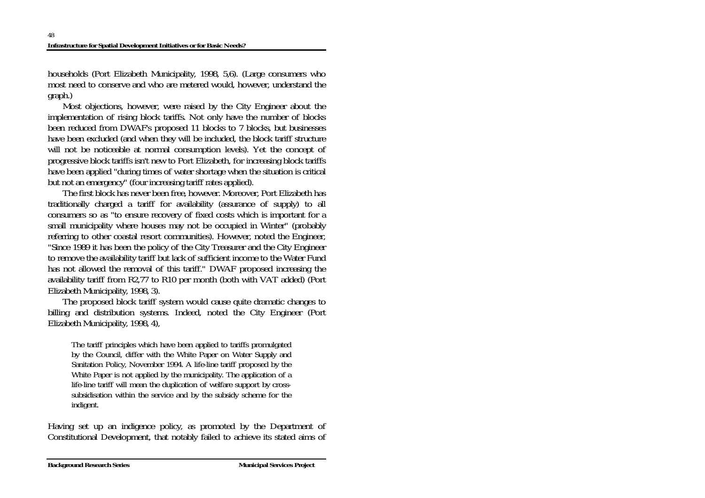households (Port Elizabeth Municipality, 1998, 5,6). (Large consumers who most need to conserve and who are metered would, however, understand the graph.)

 Most objections, however, were raised by the City Engineer about the implementation of rising block tariffs. Not only have the number of blocks been reduced from DWAF's proposed 11 blocks to 7 blocks, but businesses have been excluded (and when they will be included, the block tariff structure will not be noticeable at normal consumption levels). Yet the concept of progressive block tariffs isn't new to Port Elizabeth, for increasing block tariffs have been applied "during times of water shortage when the situation is critical but not an emergency" (four increasing tariff rates applied).

 The first block has never been free, however. Moreover, Port Elizabeth has traditionally charged a tariff for availability (assurance of supply) to all consumers so as "to ensure recovery of fixed costs which is important for a small municipality where houses may not be occupied in Winter" (probably referring to other coastal resort communities). However, noted the Engineer, "Since 1989 it has been the policy of the City Treasurer and the City Engineer to remove the availability tariff but lack of sufficient income to the Water Fund has not allowed the removal of this tariff." DWAF proposed increasing the availability tariff from R2,77 to R10 per month (both with VAT added) (Port Elizabeth Municipality, 1998, 3).

 The proposed block tariff system would cause quite dramatic changes to billing and distribution systems. Indeed, noted the City Engineer (Port Elizabeth Municipality, 1998, 4),

The tariff principles which have been applied to tariffs promulgated by the Council, differ with the White Paper on Water Supply and Sanitation Policy, November 1994. A life-line tariff proposed by the White Paper is not applied by the municipality. The application of a life-line tariff will mean the duplication of welfare support by crosssubsidisation within the service and by the subsidy scheme for the indigent.

Having set up an indigence policy, as promoted by the Department of Constitutional Development, that notably failed to achieve its stated aims of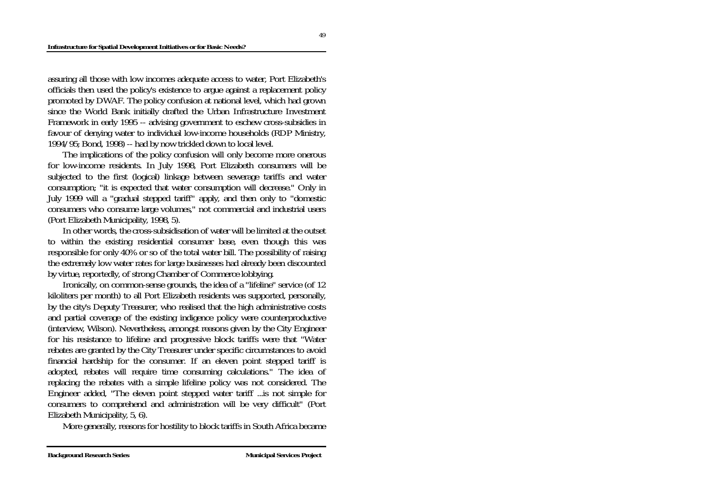assuring all those with low incomes adequate access to water, Port Elizabeth's officials then used the policy's existence to argue against a replacement policy promoted by DWAF. The policy confusion at national level, which had grown since the World Bank initially drafted the Urban Infrastructure Investment Framework in early 1995 -- advising government to eschew cross-subsidies in favour of denying water to individual low-income households (RDP Ministry, 1994/95; Bond, 1998) -- had by now trickled down to local level.

 The implications of the policy confusion will only become more onerous for low-income residents. In July 1998, Port Elizabeth consumers will be subjected to the first (logical) linkage between sewerage tariffs and water consumption; "it is expected that water consumption will decrease." Only in July 1999 will a "gradual stepped tariff" apply, and then only to "domestic consumers who consume large volumes," not commercial and industrial users (Port Elizabeth Municipality, 1998, 5).

 In other words, the cross-subsidisation of water will be limited at the outset to within the existing residential consumer base, even though this was responsible for only 40% or so of the total water bill. The possibility of raising the extremely low water rates for large businesses had already been discounted by virtue, reportedly, of strong Chamber of Commerce lobbying.

 Ironically, on common-sense grounds, the idea of a "lifeline" service (of 12 kiloliters per month) to all Port Elizabeth residents was supported, personally, by the city's Deputy Treasurer, who realised that the high administrative costs and partial coverage of the existing indigence policy were counterproductive (interview, Wilson). Nevertheless, amongst reasons given by the City Engineer for his resistance to lifeline and progressive block tariffs were that "Water rebates are granted by the City Treasurer under specific circumstances to avoid financial hardship for the consumer. If an eleven point stepped tariff is adopted, rebates will require time consuming calculations." The idea of replacing the rebates with a simple lifeline policy was not considered. The Engineer added, "The eleven point stepped water tariff ...is not simple for consumers to comprehend and administration will be very difficult" (Port Elizabeth Municipality, 5, 6).

More generally, reasons for hostility to block tariffs in South Africa became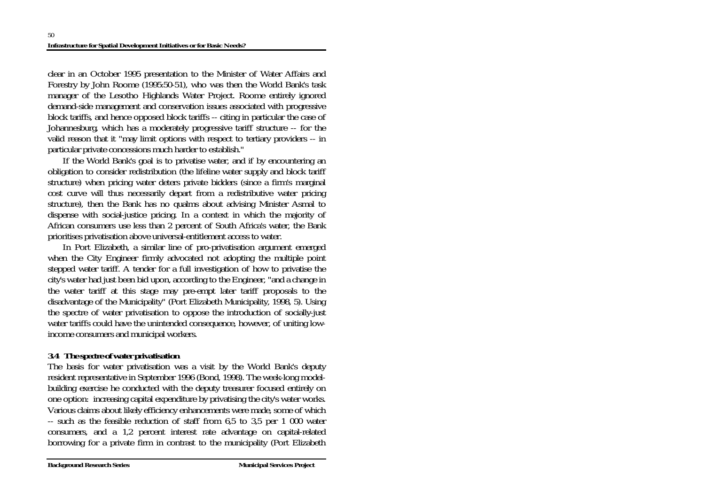clear in an October 1995 presentation to the Minister of Water Affairs and Forestry by John Roome (1995:50-51), who was then the World Bank's task manager of the Lesotho Highlands Water Project. Roome entirely ignored demand-side management and conservation issues associated with progressive block tariffs, and hence opposed block tariffs -- citing in particular the case of Johannesburg, which has a moderately progressive tariff structure -- for the valid reason that it "may limit options with respect to tertiary providers -- in particular private concessions much harder to establish."

 If the World Bank's goal is to privatise water, and if by encountering an obligation to consider redistribution (the lifeline water supply and block tariff structure) when pricing water deters private bidders (since a firm's marginal cost curve will thus necessarily depart from a redistributive water pricing structure), then the Bank has no qualms about advising Minister Asmal to dispense with social-justice pricing. In a context in which the majority of African consumers use less than 2 percent of South Africa's water, the Bank prioritises privatisation above universal-entitlement access to water.

 In Port Elizabeth, a similar line of pro-privatisation argument emerged when the City Engineer firmly advocated not adopting the multiple point stepped water tariff. A tender for a full investigation of how to privatise the city's water had just been bid upon, according to the Engineer, "and a change in the water tariff at this stage may pre-empt later tariff proposals to the disadvantage of the Municipality" (Port Elizabeth Municipality, 1998, 5). Using the spectre of water privatisation to oppose the introduction of socially-just water tariffs could have the unintended consequence, however, of uniting lowincome consumers and municipal workers.

# *3.4 The spectre of water privatisation*

The basis for water privatisation was a visit by the World Bank's deputy resident representative in September 1996 (Bond, 1998). The week-long modelbuilding exercise he conducted with the deputy treasurer focused entirely on one option: increasing capital expenditure by privatising the city's water works. Various claims about likely efficiency enhancements were made, some of which -- such as the feasible reduction of staff from 6,5 to 3,5 per 1 000 water consumers, and a 1,2 percent interest rate advantage on capital-related borrowing for a private firm in contrast to the municipality (Port Elizabeth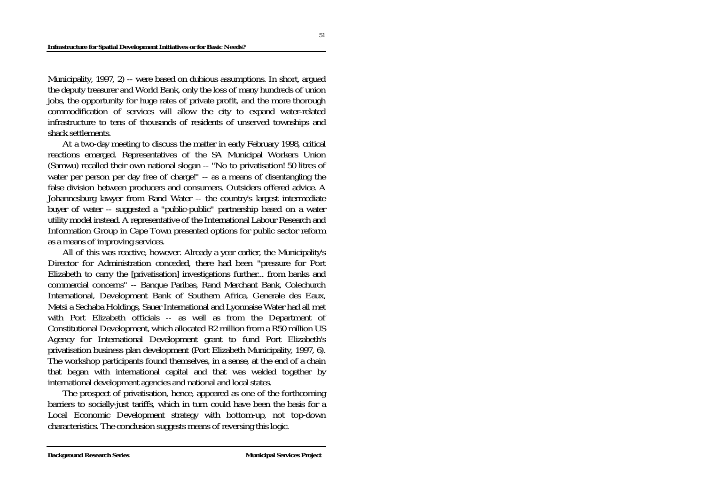Municipality, 1997, 2) -- were based on dubious assumptions. In short, argued the deputy treasurer and World Bank, only the loss of many hundreds of union jobs, the opportunity for huge rates of private profit, and the more thorough commodification of services will allow the city to expand water-related infrastructure to tens of thousands of residents of unserved townships and shack settlements.

 At a two-day meeting to discuss the matter in early February 1998, critical reactions emerged. Representatives of the SA Municipal Workers Union (Samwu) recalled their own national slogan -- "No to privatisation! 50 litres of water per person per day free of charge!" -- as a means of disentangling the false division between producers and consumers. Outsiders offered advice. A Johannesburg lawyer from Rand Water -- the country's largest intermediate buyer of water -- suggested a "public-public" partnership based on a water utility model instead. A representative of the International Labour Research and Information Group in Cape Town presented options for public sector reform as a means of improving services.

 All of this was reactive, however. Already a year earlier, the Municipality's Director for Administration conceded, there had been "pressure for Port Elizabeth to carry the [privatisation] investigations further... from banks and commercial concerns" -- Banque Paribas, Rand Merchant Bank, Colechurch International, Development Bank of Southern Africa, Generale des Eaux, Metsi a Sechaba Holdings, Sauer International and Lyonnaise Water had all met with Port Elizabeth officials -- as well as from the Department of Constitutional Development, which allocated R2 million from a R50 million US Agency for International Development grant to fund Port Elizabeth's privatisation business plan development (Port Elizabeth Municipality, 1997, 6). The workshop participants found themselves, in a sense, at the end of a chain that began with international capital and that was welded together by international development agencies and national and local states.

 The prospect of privatisation, hence, appeared as one of the forthcoming barriers to socially-just tariffs, which in turn could have been the basis for a Local Economic Development strategy with bottom-up, not top-down characteristics. The conclusion suggests means of reversing this logic.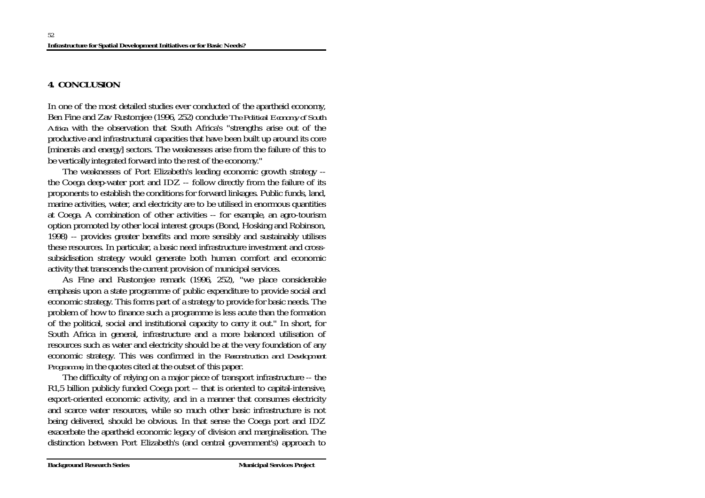## **4. CONCLUSION**

In one of the most detailed studies ever conducted of the apartheid economy, Ben Fine and Zav Rustomjee (1996, 252) conclude *The Political Economy of South Africa* with the observation that South Africa's "strengths arise out of the productive and infrastructural capacities that have been built up around its core [minerals and energy] sectors. The weaknesses arise from the failure of this to be vertically integrated forward into the rest of the economy."

 The weaknesses of Port Elizabeth's leading economic growth strategy - the Coega deep-water port and IDZ -- follow directly from the failure of its proponents to establish the conditions for forward linkages. Public funds, land, marine activities, water, and electricity are to be utilised in enormous quantities at Coega. A combination of other activities -- for example, an agro-tourism option promoted by other local interest groups (Bond, Hosking and Robinson, 1998) -- provides greater benefits and more sensibly and sustainably utilises these resources. In particular, a basic need infrastructure investment and crosssubsidisation strategy would generate both human comfort and economic activity that transcends the current provision of municipal services.

 As Fine and Rustomjee remark (1996, 252), "we place considerable emphasis upon a state programme of public expenditure to provide social and economic strategy. This forms part of a strategy to provide for basic needs. The problem of how to finance such a programme is less acute than the formation of the political, social and institutional capacity to carry it out." In short, for South Africa in general, infrastructure and a more balanced utilisation of resources such as water and electricity should be at the very foundation of any economic strategy. This was confirmed in the *Reconstruction and Development Programme*, in the quotes cited at the outset of this paper.

 The difficulty of relying on a major piece of transport infrastructure -- the R1,5 billion publicly funded Coega port -- that is oriented to capital-intensive, export-oriented economic activity, and in a manner that consumes electricity and scarce water resources, while so much other basic infrastructure is not being delivered, should be obvious. In that sense the Coega port and IDZ exacerbate the apartheid economic legacy of division and marginalisation. The distinction between Port Elizabeth's (and central government's) approach to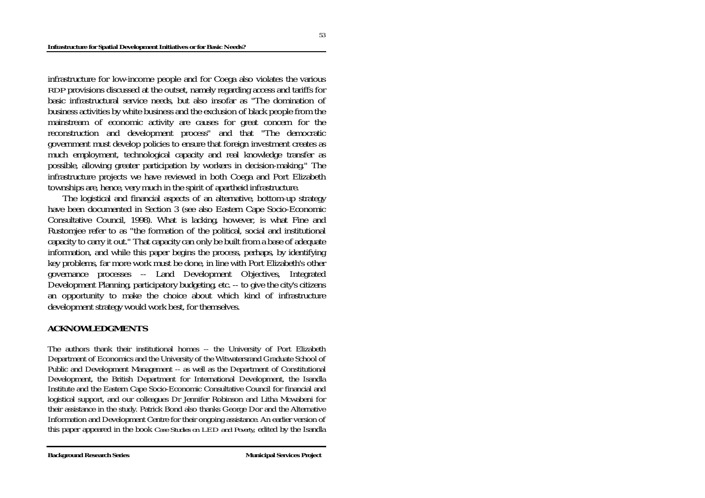infrastructure for low-income people and for Coega also violates the various *RDP* provisions discussed at the outset, namely regarding access and tariffs for basic infrastructural service needs, but also insofar as "The domination of business activities by white business and the exclusion of black people from the mainstream of economic activity are causes for great concern for the reconstruction and development process" and that "The democratic government must develop policies to ensure that foreign investment creates as much employment, technological capacity and real knowledge transfer as possible, allowing greater participation by workers in decision-making." The infrastructure projects we have reviewed in both Coega and Port Elizabeth townships are, hence, very much in the spirit of apartheid infrastructure.

 The logistical and financial aspects of an alternative, bottom-up strategy have been documented in Section 3 (see also Eastern Cape Socio-Economic Consultative Council, 1998). What is lacking, however, is what Fine and Rustomjee refer to as "the formation of the political, social and institutional capacity to carry it out." That capacity can only be built from a base of adequate information, and while this paper begins the process, perhaps, by identifying key problems, far more work must be done, in line with Port Elizabeth's other governance processes -- Land Development Objectives, Integrated Development Planning, participatory budgeting, etc. -- to give the city's citizens an opportunity to make the choice about which kind of infrastructure development strategy would work best, for themselves.

## **ACKNOWLEDGMENTS**

The authors thank their institutional homes -- the University of Port Elizabeth Department of Economics and the University of the Witwatersrand Graduate School of Public and Development Management -- as well as the Department of Constitutional Development, the British Department for International Development, the Isandla Institute and the Eastern Cape Socio-Economic Consultative Council for financial and logistical support, and our colleagues Dr Jennifer Robinson and Litha Mcwabeni for their assistance in the study. Patrick Bond also thanks George Dor and the Alternative Information and Development Centre for their ongoing assistance. An earlier version of this paper appeared in the book *Case Studies on LED and Poverty*, edited by the Isandla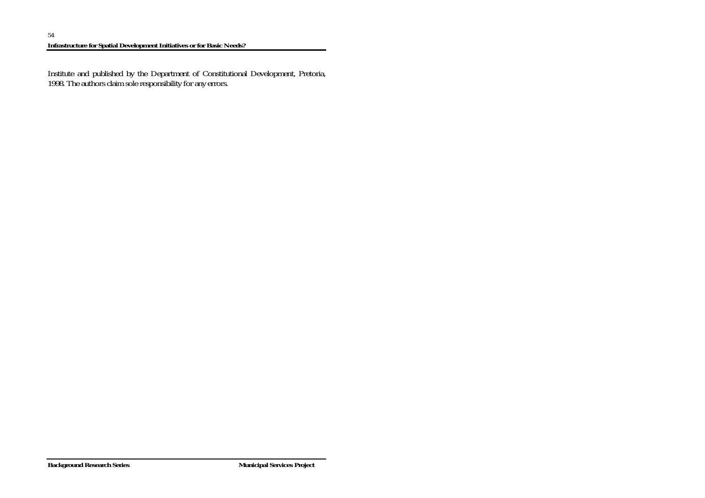Institute and published by the Department of Constitutional Development, Pretoria, 1998. The authors claim sole responsibility for any errors.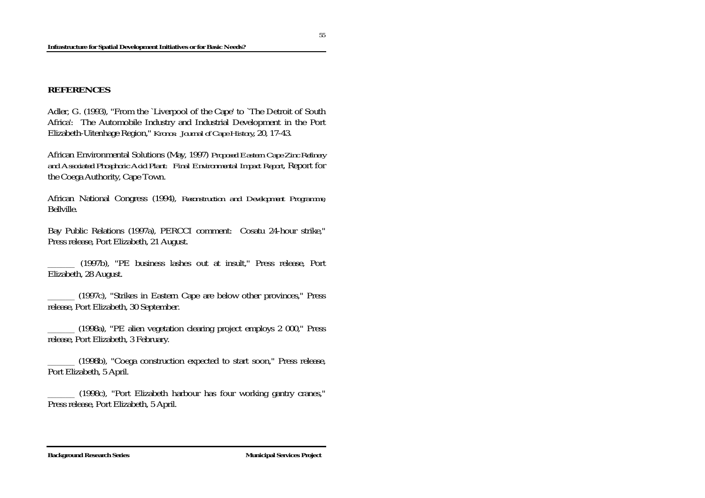## **REFERENCES**

Adler, G. (1993), "From the `Liverpool of the Cape' to `The Detroit of South Africa': The Automobile Industry and Industrial Development in the Port Elizabeth-Uitenhage Region," *Kronos: Journal of Cape History*, 20, 17-43.

African Environmental Solutions (May, 1997) *Proposed Eastern Cape Zinc Refinery and Associated Phosphoric Acid Plant: Final Environmental Impact Report*, Report for the Coega Authority, Cape Town.

African National Congress (1994), *Reconstruction and Development Programme*, Bellville.

Bay Public Relations (1997a), PERCCI comment: Cosatu 24-hour strike," Press release, Port Elizabeth, 21 August.

\_\_\_\_\_\_ (1997b), "PE business lashes out at insult," Press release, Port Elizabeth, 28 August.

\_\_\_\_\_\_ (1997c), "Strikes in Eastern Cape are below other provinces," Press release, Port Elizabeth, 30 September.

\_\_\_\_\_\_ (1998a), "PE alien vegetation clearing project employs 2 000," Press release, Port Elizabeth, 3 February.

\_\_\_\_\_\_ (1998b), "Coega construction expected to start soon," Press release, Port Elizabeth, 5 April.

\_\_\_\_\_\_ (1998c), "Port Elizabeth harbour has four working gantry cranes," Press release, Port Elizabeth, 5 April.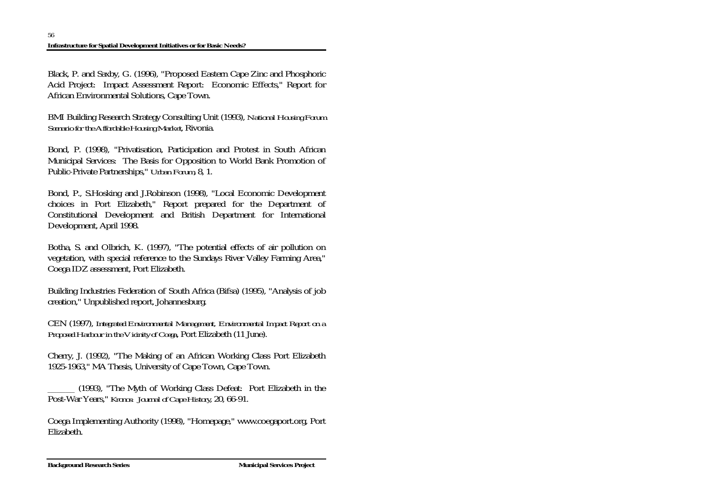Black, P. and Saxby, G. (1996), "Proposed Eastern Cape Zinc and Phosphoric Acid Project: Impact Assessment Report: Economic Effects," Report for African Environmental Solutions, Cape Town.

BMI Building Research Strategy Consulting Unit (1993), *National Housing Forum Scenario for the Affordable Housing Market*, Rivonia.

Bond, P. (1998), "Privatisation, Participation and Protest in South African Municipal Services: The Basis for Opposition to World Bank Promotion of Public-Private Partnerships," *Urban Forum*, 8, 1.

Bond, P., S.Hosking and J.Robinson (1998), "Local Economic Development choices in Port Elizabeth," Report prepared for the Department of Constitutional Development and British Department for International Development, April 1998.

Botha, S. and Olbrich, K. (1997), "The potential effects of air pollution on vegetation, with special reference to the Sundays River Valley Farming Area," Coega IDZ assessment, Port Elizabeth.

Building Industries Federation of South Africa (Bifsa) (1995), "Analysis of job creation," Unpublished report, Johannesburg.

CEN (1997), *Integrated Environmental Management, Environmental Impact Report on a Proposed Harbour in the Vicinity of Coega*, Port Elizabeth (11 June).

Cherry, J. (1992), "The Making of an African Working Class Port Elizabeth 1925-1963," MA Thesis, University of Cape Town, Cape Town.

\_\_\_\_\_\_ (1993), "The Myth of Working Class Defeat: Port Elizabeth in the Post-War Years," *Kronos: Journal of Cape History*, 20, 66-91.

Coega Implementing Authority (1998), "Homepage," www.coegaport.org, Port Elizabeth.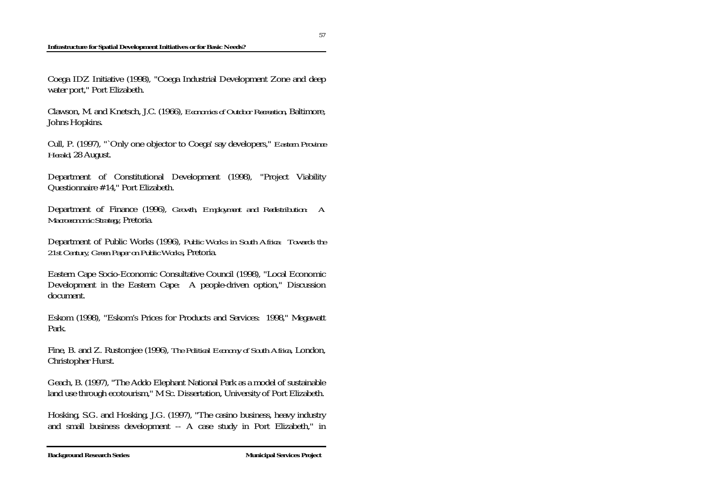### **Infrastructure for Spatial Development Initiatives or for Basic Needs?**

Coega IDZ Initiative (1998), "Coega Industrial Development Zone and deep water port," Port Elizabeth.

Clawson, M. and Knetsch, J.C. (1966), *Economics of Outdoor Recreation*, Baltimore, Johns Hopkins.

Cull, P. (1997), "`Only one objector to Coega' say developers," *Eastern Province Herald*, 28 August.

Department of Constitutional Development (1998), "Project Viability Questionnaire #14," Port Elizabeth.

Department of Finance (1996), *Growth, Employment and Redistribution: A Macroeconomic Strategy*, Pretoria.

Department of Public Works (1996), *Public Works in South Africa: Towards the 21st Century, Green Paper on Public Works*, Pretoria.

Eastern Cape Socio-Economic Consultative Council (1998), "Local Economic Development in the Eastern Cape: A people-driven option," Discussion document.

Eskom (1998), "Eskom's Prices for Products and Services: 1998," Megawatt Park.

Fine, B. and Z. Rustomjee (1996), *The Political Economy of South Africa*, London, Christopher Hurst.

Geach, B. (1997), "The Addo Elephant National Park as a model of sustainable land use through ecotourism," M Sc. Dissertation, University of Port Elizabeth.

Hosking, S.G. and Hosking, J.G. (1997), "The casino business, heavy industry and small business development -- A case study in Port Elizabeth," in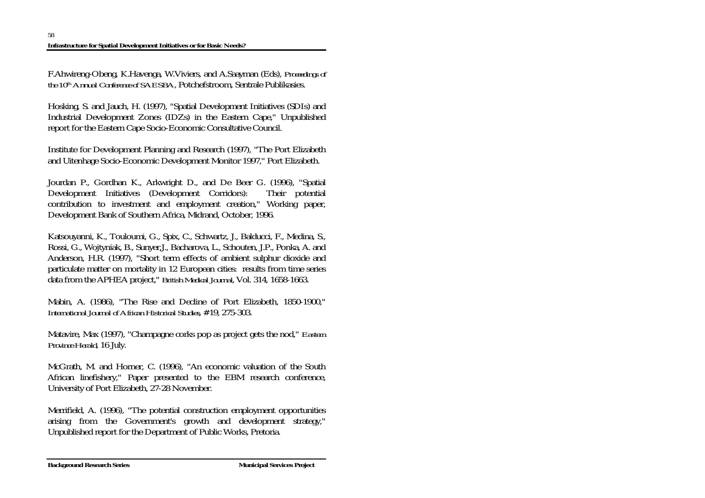F.Ahwireng-Obeng, K.Havenga, W.Viviers, and A.Saayman (Eds), *Proceedings of the 10<sup>th</sup> Annual Conference of SAESBA*, Potchefstroom, Sentrale Publikasies.

Hosking, S. and Jauch, H. (1997), "Spatial Development Initiatives (SDIs) and Industrial Development Zones (IDZs) in the Eastern Cape," Unpublished report for the Eastern Cape Socio-Economic Consultative Council.

Institute for Development Planning and Research (1997), "The Port Elizabeth and Uitenhage Socio-Economic Development Monitor 1997," Port Elizabeth.

Jourdan P., Gordhan K., Arkwright D., and De Beer G. (1996), "Spatial Development Initiatives (Development Corridors): Their potential contribution to investment and employment creation," Working paper, Development Bank of Southern Africa, Midrand, October, 1996.

Katsouyanni, K., Touloumi, G., Spix, C., Schwartz, J., Balducci, F., Medina, S., Rossi, G., Wojtyniak, B., Sunyer,J., Bacharova, L., Schouten, J.P., Ponka, A. and Anderson, H.R. (1997), "Short term effects of ambient sulphur dioxide and particulate matter on mortality in 12 European cities: results from time series data from the APHEA project," *British Medical Journal*, Vol. 314, 1658-1663.

Mabin, A. (1986), "The Rise and Decline of Port Elizabeth, 1850-1900," *International Journal of African Historical Studies*, #19, 275-303.

Matavire, Max (1997), "Champagne corks pop as project gets the nod," *Eastern Province Herald*, 16 July.

McGrath, M. and Horner, C. (1996), "An economic valuation of the South African linefishery," Paper presented to the EBM research conference, University of Port Elizabeth, 27-28 November.

Merrifield, A. (1996), "The potential construction employment opportunities arising from the Government's growth and development strategy," Unpublished report for the Department of Public Works, Pretoria.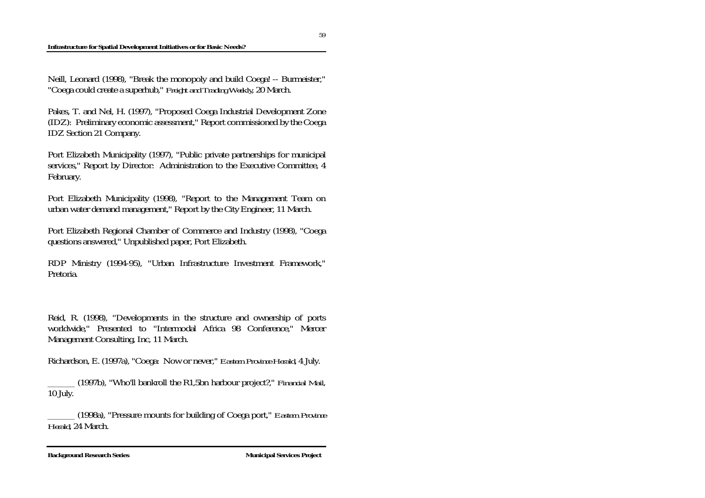### **Infrastructure for Spatial Development Initiatives or for Basic Needs?**

Neill, Leonard (1998), "Break the monopoly and build Coega! -- Burmeister," "Coega could create a superhub," *Freight and Trading Weekly*, 20 March.

Pakes, T. and Nel, H. (1997), "Proposed Coega Industrial Development Zone (IDZ): Preliminary economic assessment," Report commissioned by the Coega IDZ Section 21 Company.

Port Elizabeth Municipality (1997), "Public private partnerships for municipal services," Report by Director: Administration to the Executive Committee, 4 February.

Port Elizabeth Municipality (1998), "Report to the Management Team on urban water demand management," Report by the City Engineer, 11 March.

Port Elizabeth Regional Chamber of Commerce and Industry (1998), "Coega questions answered," Unpublished paper, Port Elizabeth.

RDP Ministry (1994-95), "Urban Infrastructure Investment Framework," Pretoria.

Reid, R. (1998), "Developments in the structure and ownership of ports worldwide," Presented to "Intermodal Africa 98 Conference," Mercer Management Consulting, Inc, 11 March.

Richardson, E. (1997a), "Coega: Now or never," *Eastern Province Herald*, 4 July.

\_\_\_\_\_\_ (1997b), "Who'll bankroll the R1,5bn harbour project?," *Financial Mail*, 10 July.

\_\_\_\_\_\_ (1998a), "Pressure mounts for building of Coega port," *Eastern Province Herald*, 24 March.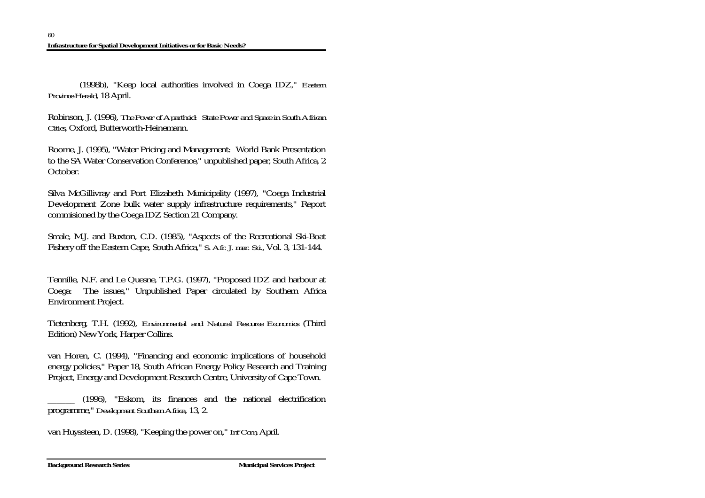\_\_\_\_\_\_ (1998b), "Keep local authorities involved in Coega IDZ," *Eastern Province Herald*, 18 April.

Robinson, J. (1996), *The Power of Apartheid: State Power and Space in South African Cities*, Oxford, Butterworth-Heinemann.

Roome, J. (1995), "Water Pricing and Management: World Bank Presentation to the SA Water Conservation Conference," unpublished paper, South Africa, 2 October.

Silva McGillivray and Port Elizabeth Municipality (1997), "Coega Industrial Development Zone bulk water supply infrastructure requirements," Report commisioned by the Coega IDZ Section 21 Company.

Smale, M.J. and Buxton, C.D. (1985), "Aspects of the Recreational Ski-Boat Fishery off the Eastern Cape, South Africa," *S. Afr. J. mar. Sci*., Vol. 3, 131-144.

Tennille, N.F. and Le Quesne, T.P.G. (1997), "Proposed IDZ and harbour at Coega: The issues," Unpublished Paper circulated by Southern Africa Environment Project.

Tietenberg, T.H. (1992), *Environmental and Natural Resource Economics* (Third Edition) New York, Harper Collins.

van Horen, C. (1994), "Financing and economic implications of household energy policies," Paper 18, South African Energy Policy Research and Training Project, Energy and Development Research Centre, University of Cape Town.

\_\_\_\_\_\_ (1996), "Eskom, its finances and the national electrification programme," *Development Southern Africa*, 13, 2.

van Huyssteen, D. (1998), "Keeping the power on," *Inf Com*, April.